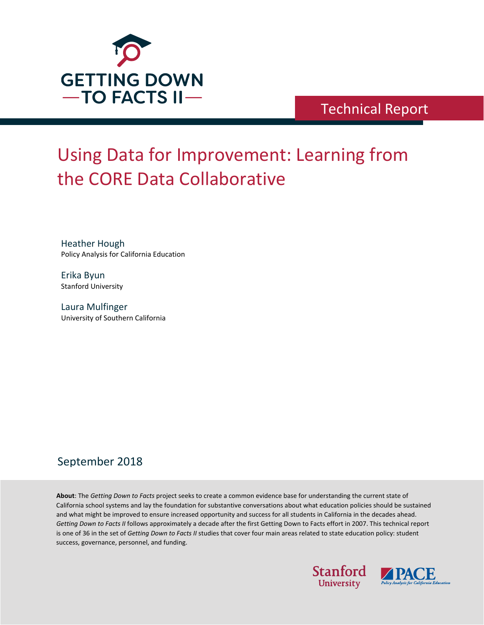

## Technical Report

# Using Data for Improvement: Learning from the CORE Data Collaborative

Heather Hough Policy Analysis for California Education

Erika Byun Stanford University

Laura Mulfinger University of Southern California

### September 2018

**About**: The *Getting Down to Facts* project seeks to create a common evidence base for understanding the current state of California school systems and lay the foundation for substantive conversations about what education policies should be sustained and what might be improved to ensure increased opportunity and success for all students in California in the decades ahead. *Getting Down to Facts II* follows approximately a decade after the first Getting Down to Facts effort in 2007. This technical report is one of 36 in the set of *Getting Down to Facts II* studies that cover four main areas related to state education policy: student success, governance, personnel, and funding.



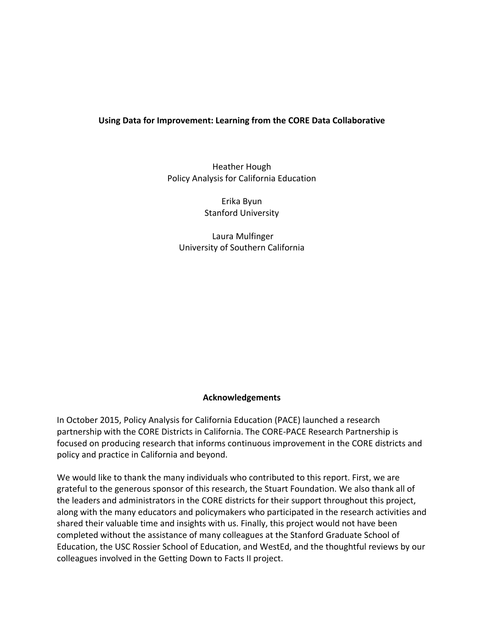#### **Using Data for Improvement: Learning from the CORE Data Collaborative**

Heather Hough Policy Analysis for California Education

> Erika Byun Stanford University

Laura Mulfinger University of Southern California

#### **Acknowledgements**

In October 2015, Policy Analysis for California Education (PACE) launched a research partnership with the CORE Districts in California. The CORE-PACE Research Partnership is focused on producing research that informs continuous improvement in the CORE districts and policy and practice in California and beyond.

We would like to thank the many individuals who contributed to this report. First, we are grateful to the generous sponsor of this research, the Stuart Foundation. We also thank all of the leaders and administrators in the CORE districts for their support throughout this project, along with the many educators and policymakers who participated in the research activities and shared their valuable time and insights with us. Finally, this project would not have been completed without the assistance of many colleagues at the Stanford Graduate School of Education, the USC Rossier School of Education, and WestEd, and the thoughtful reviews by our colleagues involved in the Getting Down to Facts II project.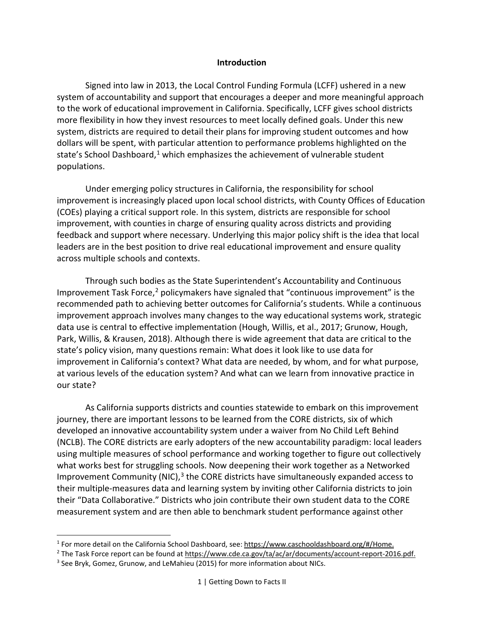#### **Introduction**

Signed into law in 2013, the Local Control Funding Formula (LCFF) ushered in a new system of accountability and support that encourages a deeper and more meaningful approach to the work of educational improvement in California. Specifically, LCFF gives school districts more flexibility in how they invest resources to meet locally defined goals. Under this new system, districts are required to detail their plans for improving student outcomes and how dollars will be spent, with particular attention to performance problems highlighted on the state's School Dashboard,<sup>[1](#page-2-0)</sup> which emphasizes the achievement of vulnerable student populations.

Under emerging policy structures in California, the responsibility for school improvement is increasingly placed upon local school districts, with County Offices of Education (COEs) playing a critical support role. In this system, districts are responsible for school improvement, with counties in charge of ensuring quality across districts and providing feedback and support where necessary. Underlying this major policy shift is the idea that local leaders are in the best position to drive real educational improvement and ensure quality across multiple schools and contexts.

Through such bodies as the State Superintendent's Accountability and Continuous Improvement Task Force,<sup>[2](#page-2-1)</sup> policymakers have signaled that "continuous improvement" is the recommended path to achieving better outcomes for California's students. While a continuous improvement approach involves many changes to the way educational systems work, strategic data use is central to effective implementation (Hough, Willis, et al., 2017; Grunow, Hough, Park, Willis, & Krausen, 2018). Although there is wide agreement that data are critical to the state's policy vision, many questions remain: What does it look like to use data for improvement in California's context? What data are needed, by whom, and for what purpose, at various levels of the education system? And what can we learn from innovative practice in our state?

As California supports districts and counties statewide to embark on this improvement journey, there are important lessons to be learned from the CORE districts, six of which developed an innovative accountability system under a waiver from No Child Left Behind (NCLB). The CORE districts are early adopters of the new accountability paradigm: local leaders using multiple measures of school performance and working together to figure out collectively what works best for struggling schools. Now deepening their work together as a Networked Improvement Community (NIC),<sup>[3](#page-2-2)</sup> the CORE districts have simultaneously expanded access to their multiple-measures data and learning system by inviting other California districts to join their "Data Collaborative." Districts who join contribute their own student data to the CORE measurement system and are then able to benchmark student performance against other

<span id="page-2-0"></span><sup>1</sup> For more detail on the California School Dashboard, see: [https://www.caschooldashboard.org/#/Home.](https://www.caschooldashboard.org/#/Home)

<span id="page-2-1"></span><sup>&</sup>lt;sup>2</sup> The Task Force report can be found at [https://www.cde.ca.gov/ta/ac/ar/documents/account-report-2016.pdf.](https://www.cde.ca.gov/ta/ac/ar/documents/account-report-2016.pdf)

<span id="page-2-2"></span><sup>&</sup>lt;sup>3</sup> See Bryk, Gomez, Grunow, and LeMahieu (2015) for more information about NICs.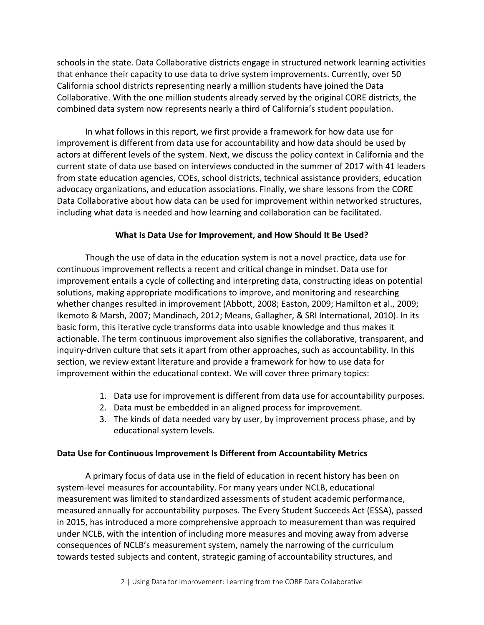schools in the state. Data Collaborative districts engage in structured network learning activities that enhance their capacity to use data to drive system improvements. Currently, over 50 California school districts representing nearly a million students have joined the Data Collaborative. With the one million students already served by the original CORE districts, the combined data system now represents nearly a third of California's student population.

In what follows in this report, we first provide a framework for how data use for improvement is different from data use for accountability and how data should be used by actors at different levels of the system. Next, we discuss the policy context in California and the current state of data use based on interviews conducted in the summer of 2017 with 41 leaders from state education agencies, COEs, school districts, technical assistance providers, education advocacy organizations, and education associations. Finally, we share lessons from the CORE Data Collaborative about how data can be used for improvement within networked structures, including what data is needed and how learning and collaboration can be facilitated.

#### **What Is Data Use for Improvement, and How Should It Be Used?**

Though the use of data in the education system is not a novel practice, data use for continuous improvement reflects a recent and critical change in mindset. Data use for improvement entails a cycle of collecting and interpreting data, constructing ideas on potential solutions, making appropriate modifications to improve, and monitoring and researching whether changes resulted in improvement (Abbott, 2008; Easton, 2009; Hamilton et al., 2009; Ikemoto & Marsh, 2007; Mandinach, 2012; Means, Gallagher, & SRI International, 2010). In its basic form, this iterative cycle transforms data into usable knowledge and thus makes it actionable. The term continuous improvement also signifies the collaborative, transparent, and inquiry-driven culture that sets it apart from other approaches, such as accountability. In this section, we review extant literature and provide a framework for how to use data for improvement within the educational context. We will cover three primary topics:

- 1. Data use for improvement is different from data use for accountability purposes.
- 2. Data must be embedded in an aligned process for improvement.
- 3. The kinds of data needed vary by user, by improvement process phase, and by educational system levels.

#### **Data Use for Continuous Improvement Is Different from Accountability Metrics**

A primary focus of data use in the field of education in recent history has been on system-level measures for accountability. For many years under NCLB, educational measurement was limited to standardized assessments of student academic performance, measured annually for accountability purposes. The Every Student Succeeds Act (ESSA), passed in 2015, has introduced a more comprehensive approach to measurement than was required under NCLB, with the intention of including more measures and moving away from adverse consequences of NCLB's measurement system, namely the narrowing of the curriculum towards tested subjects and content, strategic gaming of accountability structures, and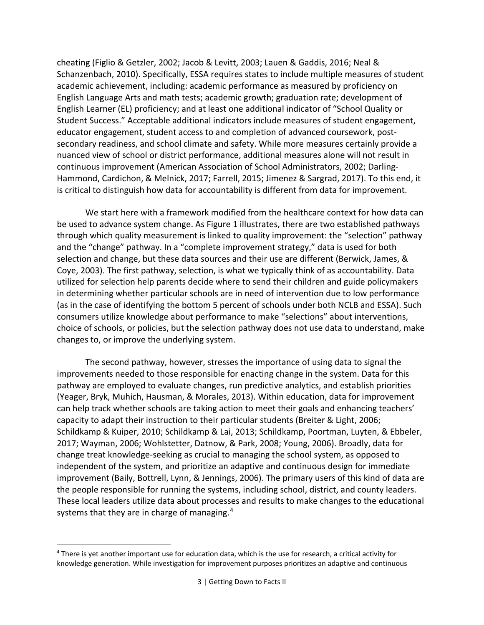cheating (Figlio & Getzler, 2002; Jacob & Levitt, 2003; Lauen & Gaddis, 2016; Neal & Schanzenbach, 2010). Specifically, ESSA requires states to include multiple measures of student academic achievement, including: academic performance as measured by proficiency on English Language Arts and math tests; academic growth; graduation rate; development of English Learner (EL) proficiency; and at least one additional indicator of "School Quality or Student Success." Acceptable additional indicators include measures of student engagement, educator engagement, student access to and completion of advanced coursework, postsecondary readiness, and school climate and safety. While more measures certainly provide a nuanced view of school or district performance, additional measures alone will not result in continuous improvement (American Association of School Administrators, 2002; Darling-Hammond, Cardichon, & Melnick, 2017; Farrell, 2015; Jimenez & Sargrad, 2017). To this end, it is critical to distinguish how data for accountability is different from data for improvement.

We start here with a framework modified from the healthcare context for how data can be used to advance system change. As [Figure 1](#page-5-0) illustrates, there are two established pathways through which quality measurement is linked to quality improvement: the "selection" pathway and the "change" pathway. In a "complete improvement strategy," data is used for both selection and change, but these data sources and their use are different (Berwick, James, & Coye, 2003). The first pathway, selection, is what we typically think of as accountability. Data utilized for selection help parents decide where to send their children and guide policymakers in determining whether particular schools are in need of intervention due to low performance (as in the case of identifying the bottom 5 percent of schools under both NCLB and ESSA). Such consumers utilize knowledge about performance to make "selections" about interventions, choice of schools, or policies, but the selection pathway does not use data to understand, make changes to, or improve the underlying system.

The second pathway, however, stresses the importance of using data to signal the improvements needed to those responsible for enacting change in the system. Data for this pathway are employed to evaluate changes, run predictive analytics, and establish priorities (Yeager, Bryk, Muhich, Hausman, & Morales, 2013). Within education, data for improvement can help track whether schools are taking action to meet their goals and enhancing teachers' capacity to adapt their instruction to their particular students (Breiter & Light, 2006; Schildkamp & Kuiper, 2010; Schildkamp & Lai, 2013; Schildkamp, Poortman, Luyten, & Ebbeler, 2017; Wayman, 2006; Wohlstetter, Datnow, & Park, 2008; Young, 2006). Broadly, data for change treat knowledge-seeking as crucial to managing the school system, as opposed to independent of the system, and prioritize an adaptive and continuous design for immediate improvement (Baily, Bottrell, Lynn, & Jennings, 2006). The primary users of this kind of data are the people responsible for running the systems, including school, district, and county leaders. These local leaders utilize data about processes and results to make changes to the educational systems that they are in charge of managing.<sup>[4](#page-4-0)</sup>

<span id="page-4-0"></span><sup>4</sup> There is yet another important use for education data, which is the use for research, a critical activity for knowledge generation. While investigation for improvement purposes prioritizes an adaptive and continuous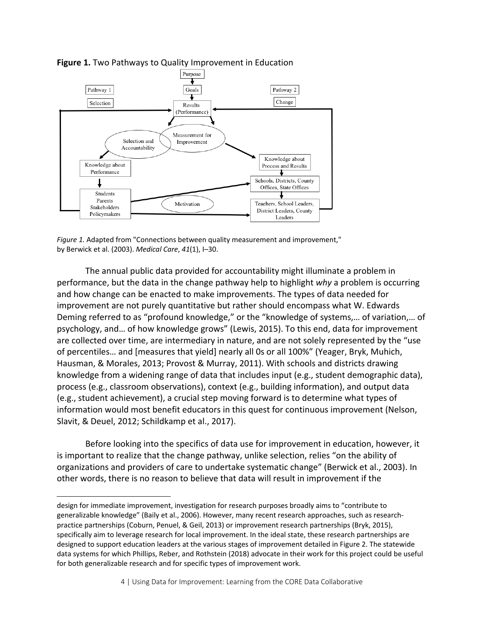

#### <span id="page-5-0"></span>**Figure 1.** Two Pathways to Quality Improvement in Education

*Figure 1.* Adapted from "Connections between quality measurement and improvement," by Berwick et al. (2003). *Medical Care*, *41*(1), I–30.

The annual public data provided for accountability might illuminate a problem in performance, but the data in the change pathway help to highlight *why* a problem is occurring and how change can be enacted to make improvements. The types of data needed for improvement are not purely quantitative but rather should encompass what W. Edwards Deming referred to as "profound knowledge," or the "knowledge of systems,… of variation,… of psychology, and… of how knowledge grows" (Lewis, 2015). To this end, data for improvement are collected over time, are intermediary in nature, and are not solely represented by the "use of percentiles… and [measures that yield] nearly all 0s or all 100%" (Yeager, Bryk, Muhich, Hausman, & Morales, 2013; Provost & Murray, 2011). With schools and districts drawing knowledge from a widening range of data that includes input (e.g., student demographic data), process (e.g., classroom observations), context (e.g., building information), and output data (e.g., student achievement), a crucial step moving forward is to determine what types of information would most benefit educators in this quest for continuous improvement (Nelson, Slavit, & Deuel, 2012; Schildkamp et al., 2017).

Before looking into the specifics of data use for improvement in education, however, it is important to realize that the change pathway, unlike selection, relies "on the ability of organizations and providers of care to undertake systematic change" (Berwick et al., 2003). In other words, there is no reason to believe that data will result in improvement if the

design for immediate improvement, investigation for research purposes broadly aims to "contribute to generalizable knowledge" (Baily et al., 2006). However, many recent research approaches, such as researchpractice partnerships (Coburn, Penuel, & Geil, 2013) or improvement research partnerships (Bryk, 2015), specifically aim to leverage research for local improvement. In the ideal state, these research partnerships are designed to support education leaders at the various stages of improvement detailed in [Figure 2.](#page-8-0) The statewide data systems for which Phillips, Reber, and Rothstein (2018) advocate in their work for this project could be useful for both generalizable research and for specific types of improvement work.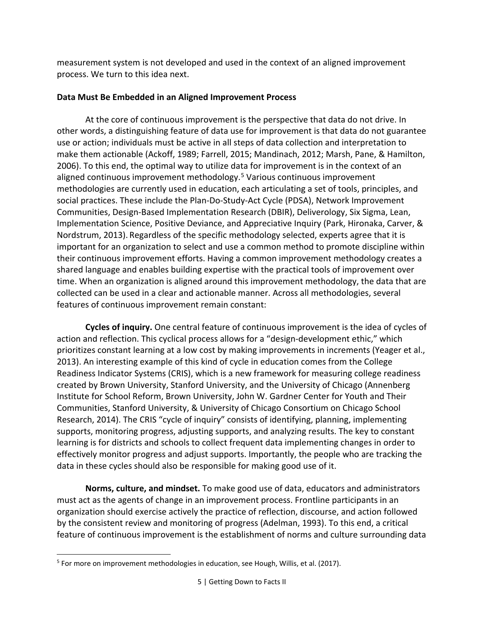measurement system is not developed and used in the context of an aligned improvement process. We turn to this idea next.

#### **Data Must Be Embedded in an Aligned Improvement Process**

At the core of continuous improvement is the perspective that data do not drive. In other words, a distinguishing feature of data use for improvement is that data do not guarantee use or action; individuals must be active in all steps of data collection and interpretation to make them actionable (Ackoff, 1989; Farrell, 2015; Mandinach, 2012; Marsh, Pane, & Hamilton, 2006). To this end, the optimal way to utilize data for improvement is in the context of an aligned continuous improvement methodology. [5](#page-6-0) Various continuous improvement methodologies are currently used in education, each articulating a set of tools, principles, and social practices. These include the Plan-Do-Study-Act Cycle (PDSA), Network Improvement Communities, Design-Based Implementation Research (DBIR), Deliverology, Six Sigma, Lean, Implementation Science, Positive Deviance, and Appreciative Inquiry (Park, Hironaka, Carver, & Nordstrum, 2013). Regardless of the specific methodology selected, experts agree that it is important for an organization to select and use a common method to promote discipline within their continuous improvement efforts. Having a common improvement methodology creates a shared language and enables building expertise with the practical tools of improvement over time. When an organization is aligned around this improvement methodology, the data that are collected can be used in a clear and actionable manner. Across all methodologies, several features of continuous improvement remain constant:

**Cycles of inquiry.** One central feature of continuous improvement is the idea of cycles of action and reflection. This cyclical process allows for a "design-development ethic," which prioritizes constant learning at a low cost by making improvements in increments (Yeager et al., 2013). An interesting example of this kind of cycle in education comes from the College Readiness Indicator Systems (CRIS), which is a new framework for measuring college readiness created by Brown University, Stanford University, and the University of Chicago (Annenberg Institute for School Reform, Brown University, John W. Gardner Center for Youth and Their Communities, Stanford University, & University of Chicago Consortium on Chicago School Research, 2014). The CRIS "cycle of inquiry" consists of identifying, planning, implementing supports, monitoring progress, adjusting supports, and analyzing results. The key to constant learning is for districts and schools to collect frequent data implementing changes in order to effectively monitor progress and adjust supports. Importantly, the people who are tracking the data in these cycles should also be responsible for making good use of it.

**Norms, culture, and mindset.** To make good use of data, educators and administrators must act as the agents of change in an improvement process. Frontline participants in an organization should exercise actively the practice of reflection, discourse, and action followed by the consistent review and monitoring of progress (Adelman, 1993). To this end, a critical feature of continuous improvement is the establishment of norms and culture surrounding data

<span id="page-6-0"></span> $\overline{a}$ <sup>5</sup> For more on improvement methodologies in education, see Hough, Willis, et al. (2017).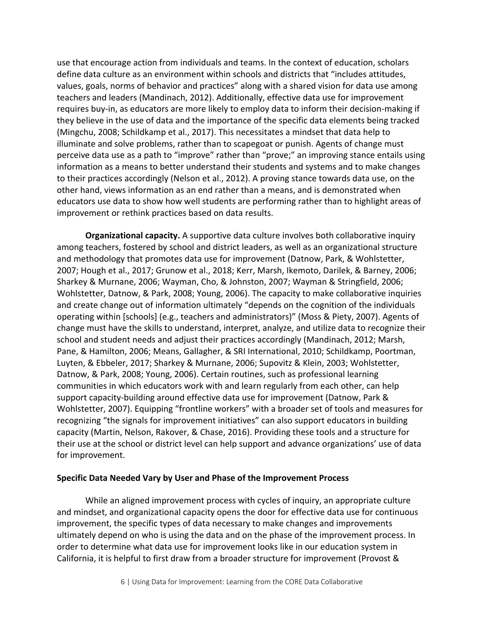use that encourage action from individuals and teams. In the context of education, scholars define data culture as an environment within schools and districts that "includes attitudes, values, goals, norms of behavior and practices" along with a shared vision for data use among teachers and leaders (Mandinach, 2012). Additionally, effective data use for improvement requires buy-in, as educators are more likely to employ data to inform their decision-making if they believe in the use of data and the importance of the specific data elements being tracked (Mingchu, 2008; Schildkamp et al., 2017). This necessitates a mindset that data help to illuminate and solve problems, rather than to scapegoat or punish. Agents of change must perceive data use as a path to "improve" rather than "prove;" an improving stance entails using information as a means to better understand their students and systems and to make changes to their practices accordingly (Nelson et al., 2012). A proving stance towards data use, on the other hand, views information as an end rather than a means, and is demonstrated when educators use data to show how well students are performing rather than to highlight areas of improvement or rethink practices based on data results.

**Organizational capacity.** A supportive data culture involves both collaborative inquiry among teachers, fostered by school and district leaders, as well as an organizational structure and methodology that promotes data use for improvement (Datnow, Park, & Wohlstetter, 2007; Hough et al., 2017; Grunow et al., 2018; Kerr, Marsh, Ikemoto, Darilek, & Barney, 2006; Sharkey & Murnane, 2006; Wayman, Cho, & Johnston, 2007; Wayman & Stringfield, 2006; Wohlstetter, Datnow, & Park, 2008; Young, 2006). The capacity to make collaborative inquiries and create change out of information ultimately "depends on the cognition of the individuals operating within [schools] (e.g., teachers and administrators)" (Moss & Piety, 2007). Agents of change must have the skills to understand, interpret, analyze, and utilize data to recognize their school and student needs and adjust their practices accordingly (Mandinach, 2012; Marsh, Pane, & Hamilton, 2006; Means, Gallagher, & SRI International, 2010; Schildkamp, Poortman, Luyten, & Ebbeler, 2017; Sharkey & Murnane, 2006; Supovitz & Klein, 2003; Wohlstetter, Datnow, & Park, 2008; Young, 2006). Certain routines, such as professional learning communities in which educators work with and learn regularly from each other, can help support capacity-building around effective data use for improvement (Datnow, Park & Wohlstetter, 2007). Equipping "frontline workers" with a broader set of tools and measures for recognizing "the signals for improvement initiatives" can also support educators in building capacity (Martin, Nelson, Rakover, & Chase, 2016). Providing these tools and a structure for their use at the school or district level can help support and advance organizations' use of data for improvement.

#### **Specific Data Needed Vary by User and Phase of the Improvement Process**

While an aligned improvement process with cycles of inquiry, an appropriate culture and mindset, and organizational capacity opens the door for effective data use for continuous improvement, the specific types of data necessary to make changes and improvements ultimately depend on who is using the data and on the phase of the improvement process. In order to determine what data use for improvement looks like in our education system in California, it is helpful to first draw from a broader structure for improvement (Provost &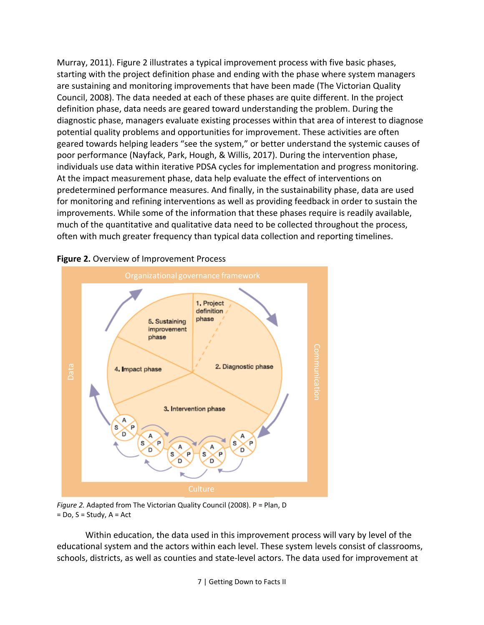Murray, 2011). [Figure 2](#page-8-0) illustrates a typical improvement process with five basic phases, starting with the project definition phase and ending with the phase where system managers are sustaining and monitoring improvements that have been made (The Victorian Quality Council, 2008). The data needed at each of these phases are quite different. In the project definition phase, data needs are geared toward understanding the problem. During the diagnostic phase, managers evaluate existing processes within that area of interest to diagnose potential quality problems and opportunities for improvement. These activities are often geared towards helping leaders "see the system," or better understand the systemic causes of poor performance (Nayfack, Park, Hough, & Willis, 2017). During the intervention phase, individuals use data within iterative PDSA cycles for implementation and progress monitoring. At the impact measurement phase, data help evaluate the effect of interventions on predetermined performance measures. And finally, in the sustainability phase, data are used for monitoring and refining interventions as well as providing feedback in order to sustain the improvements. While some of the information that these phases require is readily available, much of the quantitative and qualitative data need to be collected throughout the process, often with much greater frequency than typical data collection and reporting timelines.



#### <span id="page-8-0"></span>**Figure 2.** Overview of Improvement Process

*Figure 2.* Adapted from The Victorian Quality Council (2008). P = Plan, D  $=$  Do, S  $=$  Study, A  $=$  Act

Within education, the data used in this improvement process will vary by level of the educational system and the actors within each level. These system levels consist of classrooms, schools, districts, as well as counties and state-level actors. The data used for improvement at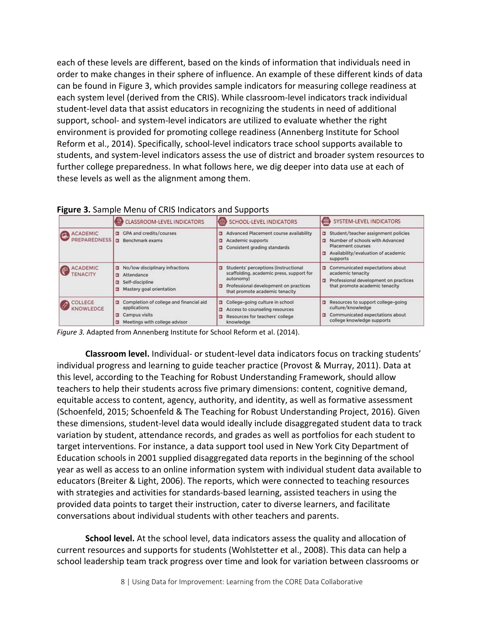each of these levels are different, based on the kinds of information that individuals need in order to make changes in their sphere of influence. An example of these different kinds of data can be found in Figure 3, which provides sample indicators for measuring college readiness at each system level (derived from the CRIS). While classroom-level indicators track individual student-level data that assist educators in recognizing the students in need of additional support, school- and system-level indicators are utilized to evaluate whether the right environment is provided for promoting college readiness (Annenberg Institute for School Reform et al., 2014). Specifically, school-level indicators trace school supports available to students, and system-level indicators assess the use of district and broader system resources to further college preparedness. In what follows here, we dig deeper into data use at each of these levels as well as the alignment among them.

|  |  |  |  |  | Figure 3. Sample Menu of CRIS Indicators and Supports |  |  |
|--|--|--|--|--|-------------------------------------------------------|--|--|
|--|--|--|--|--|-------------------------------------------------------|--|--|

|                                        | <b>CLASSROOM-LEVEL INDICATORS</b>                                                                                   | SCHOOL-LEVEL INDICATORS                                                                                                                                                       | SYSTEM-LEVEL INDICATORS                                                                                                                                  |
|----------------------------------------|---------------------------------------------------------------------------------------------------------------------|-------------------------------------------------------------------------------------------------------------------------------------------------------------------------------|----------------------------------------------------------------------------------------------------------------------------------------------------------|
| <b>ACADEMIC</b><br><b>PREPAREDNESS</b> | <b>GPA and credits/courses</b><br>$\overline{a}$<br>ы<br>Benchmark exams                                            | Advanced Placement course availability<br>о<br>Academic supports<br>ь<br>Consistent grading standards<br>ь                                                                    | Student/teacher assignment policies<br>Number of schools with Advanced<br>в<br>Placement courses<br>Availability/evaluation of academic<br>а<br>supports |
| <b>ACADEMIC</b><br><b>TENACITY</b>     | No/low disciplinary infractions<br>п<br>Attendance<br>ы<br>Self-discipline<br>Б<br>Mastery goal orientation<br>Б    | Students' perceptions (instructional<br>о<br>scaffolding, academic press, support for<br>autonomy)<br>Professional development on practices<br>that promote academic tenacity | Communicated expectations about<br>ы<br>academic tenacity<br>Professional development on practices<br>α<br>that promote academic tenacity                |
| <b>COLLEGE</b><br>KNOWLEDGE            | Completion of college and financial aid<br>ы<br>applications<br>Campus visits<br>ь<br>Meetings with college advisor | College-going culture in school<br>ь<br>Access to counseling resources<br>ь<br>Resources for teachers' college<br>knowledge                                                   | Resources to support college-going<br>в<br>culture/knowledge<br>Communicated expectations about<br>Е<br>college knowledge supports                       |

*Figure 3.* Adapted from Annenberg Institute for School Reform et al. (2014).

**Classroom level.** Individual- or student-level data indicators focus on tracking students' individual progress and learning to guide teacher practice (Provost & Murray, 2011). Data at this level, according to the Teaching for Robust Understanding Framework, should allow teachers to help their students across five primary dimensions: content, cognitive demand, equitable access to content, agency, authority, and identity, as well as formative assessment (Schoenfeld, 2015; Schoenfeld & The Teaching for Robust Understanding Project, 2016). Given these dimensions, student-level data would ideally include disaggregated student data to track variation by student, attendance records, and grades as well as portfolios for each student to target interventions. For instance, a data support tool used in New York City Department of Education schools in 2001 supplied disaggregated data reports in the beginning of the school year as well as access to an online information system with individual student data available to educators (Breiter & Light, 2006). The reports, which were connected to teaching resources with strategies and activities for standards-based learning, assisted teachers in using the provided data points to target their instruction, cater to diverse learners, and facilitate conversations about individual students with other teachers and parents.

**School level.** At the school level, data indicators assess the quality and allocation of current resources and supports for students (Wohlstetter et al., 2008). This data can help a school leadership team track progress over time and look for variation between classrooms or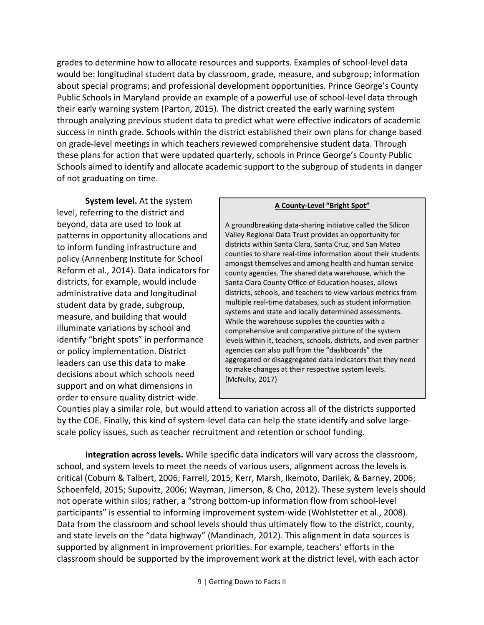grades to determine how to allocate resources and supports. Examples of school-level data would be: longitudinal student data by classroom, grade, measure, and subgroup; information about special programs; and professional development opportunities. Prince George's County Public Schools in Maryland provide an example of a powerful use of school-level data through their early warning system (Parton, 2015). The district created the early warning system through analyzing previous student data to predict what were effective indicators of academic success in ninth grade. Schools within the district established their own plans for change based on grade-level meetings in which teachers reviewed comprehensive student data. Through these plans for action that were updated quarterly, schools in Prince George's County Public Schools aimed to identify and allocate academic support to the subgroup of students in danger of not graduating on time.

**System level.** At the system level, referring to the district and beyond, data are used to look at patterns in opportunity allocations and to inform funding infrastructure and policy (Annenberg Institute for School Reform et al., 2014). Data indicators for districts, for example, would include administrative data and longitudinal student data by grade, subgroup, measure, and building that would illuminate variations by school and identify "bright spots" in performance or policy implementation. District leaders can use this data to make decisions about which schools need support and on what dimensions in order to ensure quality district-wide.

#### **A County-Level "Bright Spot"**

A groundbreaking data-sharing initiative called the Silicon Valley Regional Data Trust provides an opportunity for districts within Santa Clara, Santa Cruz, and San Mateo counties to share real-time information about their students amongst themselves and among health and human service county agencies. The shared data warehouse, which the Santa Clara County Office of Education houses, allows districts, schools, and teachers to view various metrics from multiple real-time databases, such as student information systems and state and locally determined assessments. While the warehouse supplies the counties with a comprehensive and comparative picture of the system levels within it, teachers, schools, districts, and even partner agencies can also pull from the "dashboards" the aggregated or disaggregated data indicators that they need to make changes at their respective system levels. (McNulty, 2017)

Counties play a similar role, but would attend to variation across all of the districts supported by the COE. Finally, this kind of system-level data can help the state identify and solve largescale policy issues, such as teacher recruitment and retention or school funding.

**Integration across levels.** While specific data indicators will vary across the classroom, school, and system levels to meet the needs of various users, alignment across the levels is critical (Coburn & Talbert, 2006; Farrell, 2015; Kerr, Marsh, Ikemoto, Darilek, & Barney, 2006; Schoenfeld, 2015; Supovitz, 2006; Wayman, Jimerson, & Cho, 2012). These system levels should not operate within silos; rather, a "strong bottom-up information flow from school-level participants" is essential to informing improvement system-wide (Wohlstetter et al., 2008). Data from the classroom and school levels should thus ultimately flow to the district, county, and state levels on the "data highway" (Mandinach, 2012). This alignment in data sources is supported by alignment in improvement priorities. For example, teachers' efforts in the classroom should be supported by the improvement work at the district level, with each actor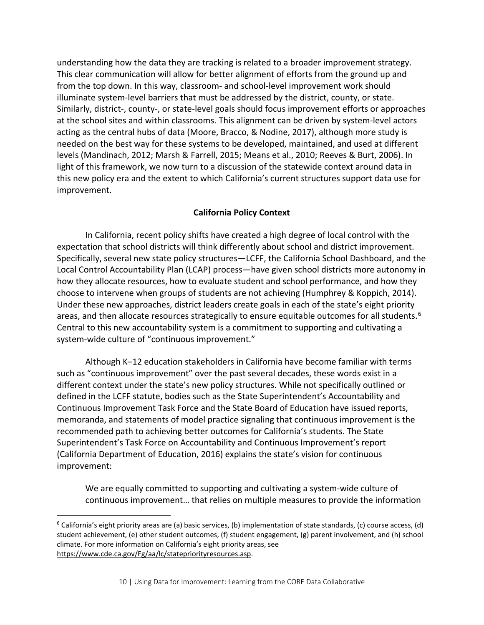understanding how the data they are tracking is related to a broader improvement strategy. This clear communication will allow for better alignment of efforts from the ground up and from the top down. In this way, classroom- and school-level improvement work should illuminate system-level barriers that must be addressed by the district, county, or state. Similarly, district-, county-, or state-level goals should focus improvement efforts or approaches at the school sites and within classrooms. This alignment can be driven by system-level actors acting as the central hubs of data (Moore, Bracco, & Nodine, 2017), although more study is needed on the best way for these systems to be developed, maintained, and used at different levels (Mandinach, 2012; Marsh & Farrell, 2015; Means et al., 2010; Reeves & Burt, 2006). In light of this framework, we now turn to a discussion of the statewide context around data in this new policy era and the extent to which California's current structures support data use for improvement.

#### **California Policy Context**

In California, recent policy shifts have created a high degree of local control with the expectation that school districts will think differently about school and district improvement. Specifically, several new state policy structures—LCFF, the California School Dashboard, and the Local Control Accountability Plan (LCAP) process—have given school districts more autonomy in how they allocate resources, how to evaluate student and school performance, and how they choose to intervene when groups of students are not achieving (Humphrey & Koppich, 2014). Under these new approaches, district leaders create goals in each of the state's eight priority areas, and then allocate resources strategically to ensure equitable outcomes for all students.<sup>[6](#page-11-0)</sup> Central to this new accountability system is a commitment to supporting and cultivating a system-wide culture of "continuous improvement."

Although K–12 education stakeholders in California have become familiar with terms such as "continuous improvement" over the past several decades, these words exist in a different context under the state's new policy structures. While not specifically outlined or defined in the LCFF statute, bodies such as the State Superintendent's Accountability and Continuous Improvement Task Force and the State Board of Education have issued reports, memoranda, and statements of model practice signaling that continuous improvement is the recommended path to achieving better outcomes for California's students. The State Superintendent's Task Force on Accountability and Continuous Improvement's report (California Department of Education, 2016) explains the state's vision for continuous improvement:

We are equally committed to supporting and cultivating a system-wide culture of continuous improvement… that relies on multiple measures to provide the information

<span id="page-11-0"></span> $6$  California's eight priority areas are (a) basic services, (b) implementation of state standards, (c) course access, (d) student achievement, (e) other student outcomes, (f) student engagement, (g) parent involvement, and (h) school climate. For more information on California's eight priority areas, see [https://www.cde.ca.gov/Fg/aa/lc/statepriorityresources.asp.](https://www.cde.ca.gov/Fg/aa/lc/statepriorityresources.asp)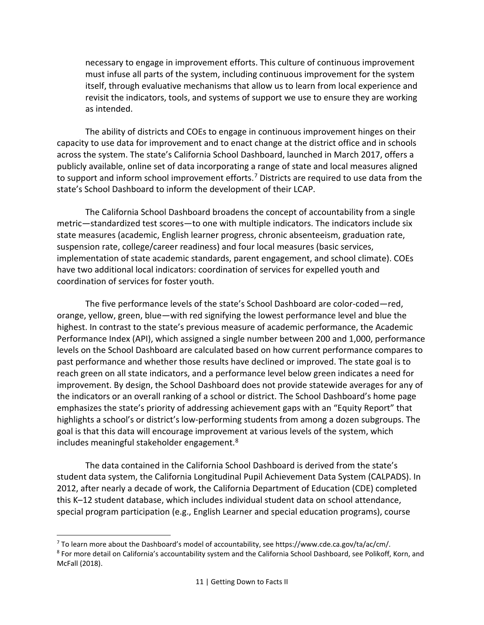necessary to engage in improvement efforts. This culture of continuous improvement must infuse all parts of the system, including continuous improvement for the system itself, through evaluative mechanisms that allow us to learn from local experience and revisit the indicators, tools, and systems of support we use to ensure they are working as intended.

The ability of districts and COEs to engage in continuous improvement hinges on their capacity to use data for improvement and to enact change at the district office and in schools across the system. The state's California School Dashboard, launched in March 2017, offers a publicly available, online set of data incorporating a range of state and local measures aligned to support and inform school improvement efforts.<sup>[7](#page-12-0)</sup> Districts are required to use data from the state's School Dashboard to inform the development of their LCAP.

The California School Dashboard broadens the concept of accountability from a single metric—standardized test scores—to one with multiple indicators. The indicators include six state measures (academic, English learner progress, chronic absenteeism, graduation rate, suspension rate, college/career readiness) and four local measures (basic services, implementation of state academic standards, parent engagement, and school climate). COEs have two additional local indicators: coordination of services for expelled youth and coordination of services for foster youth.

The five performance levels of the state's School Dashboard are color-coded—red, orange, yellow, green, blue—with red signifying the lowest performance level and blue the highest. In contrast to the state's previous measure of academic performance, the Academic Performance Index (API), which assigned a single number between 200 and 1,000, performance levels on the School Dashboard are calculated based on how current performance compares to past performance and whether those results have declined or improved. The state goal is to reach green on all state indicators, and a performance level below green indicates a need for improvement. By design, the School Dashboard does not provide statewide averages for any of the indicators or an overall ranking of a school or district. The School Dashboard's home page emphasizes the state's priority of addressing achievement gaps with an "Equity Report" that highlights a school's or district's low-performing students from among a dozen subgroups. The goal is that this data will encourage improvement at various levels of the system, which includes meaningful stakeholder engagement.[8](#page-12-1)

The data contained in the California School Dashboard is derived from the state's student data system, the California Longitudinal Pupil Achievement Data System (CALPADS). In 2012, after nearly a decade of work, the California Department of Education (CDE) completed this K–12 student database, which includes individual student data on school attendance, special program participation (e.g., English Learner and special education programs), course

<span id="page-12-1"></span><span id="page-12-0"></span><sup>&</sup>lt;sup>7</sup> To learn more about the Dashboard's model of accountability, see https://www.cde.ca.gov/ta/ac/cm/.<br><sup>8</sup> For more detail on California's accountability system and the California School Dashboard, see Polikoff, Korn, and McFall (2018).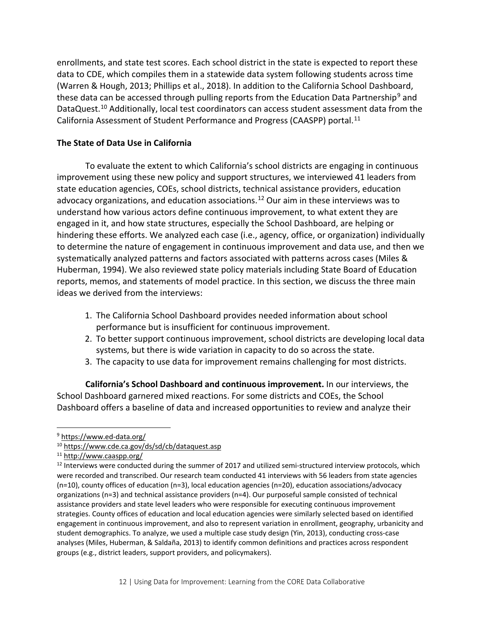enrollments, and state test scores. Each school district in the state is expected to report these data to CDE, which compiles them in a statewide data system following students across time (Warren & Hough, 2013; Phillips et al., 2018). In addition to the California School Dashboard, these data can be accessed through pulling reports from the Education Data Partnership<sup>[9](#page-13-0)</sup> and DataQuest.<sup>[10](#page-13-1)</sup> Additionally, local test coordinators can access student assessment data from the California Assessment of Student Performance and Progress (CAASPP) portal.<sup>[11](#page-13-2)</sup>

#### **The State of Data Use in California**

To evaluate the extent to which California's school districts are engaging in continuous improvement using these new policy and support structures, we interviewed 41 leaders from state education agencies, COEs, school districts, technical assistance providers, education advocacy organizations, and education associations.<sup>[12](#page-13-3)</sup> Our aim in these interviews was to understand how various actors define continuous improvement, to what extent they are engaged in it, and how state structures, especially the School Dashboard, are helping or hindering these efforts. We analyzed each case (i.e., agency, office, or organization) individually to determine the nature of engagement in continuous improvement and data use, and then we systematically analyzed patterns and factors associated with patterns across cases (Miles & Huberman, 1994). We also reviewed state policy materials including State Board of Education reports, memos, and statements of model practice. In this section, we discuss the three main ideas we derived from the interviews:

- 1. The California School Dashboard provides needed information about school performance but is insufficient for continuous improvement.
- 2. To better support continuous improvement, school districts are developing local data systems, but there is wide variation in capacity to do so across the state.
- 3. The capacity to use data for improvement remains challenging for most districts.

**California's School Dashboard and continuous improvement.** In our interviews, the School Dashboard garnered mixed reactions. For some districts and COEs, the School Dashboard offers a baseline of data and increased opportunities to review and analyze their

<span id="page-13-0"></span><sup>9</sup> <https://www.ed-data.org/>

<span id="page-13-1"></span><sup>10</sup> <https://www.cde.ca.gov/ds/sd/cb/dataquest.asp>

<span id="page-13-2"></span><sup>11</sup> <http://www.caaspp.org/>

<span id="page-13-3"></span><sup>&</sup>lt;sup>12</sup> Interviews were conducted during the summer of 2017 and utilized semi-structured interview protocols, which were recorded and transcribed. Our research team conducted 41 interviews with 56 leaders from state agencies (n=10), county offices of education (n=3), local education agencies (n=20), education associations/advocacy organizations (n=3) and technical assistance providers (n=4). Our purposeful sample consisted of technical assistance providers and state level leaders who were responsible for executing continuous improvement strategies. County offices of education and local education agencies were similarly selected based on identified engagement in continuous improvement, and also to represent variation in enrollment, geography, urbanicity and student demographics. To analyze, we used a multiple case study design (Yin, 2013), conducting cross-case analyses (Miles, Huberman, & Saldaña, 2013) to identify common definitions and practices across respondent groups (e.g., district leaders, support providers, and policymakers).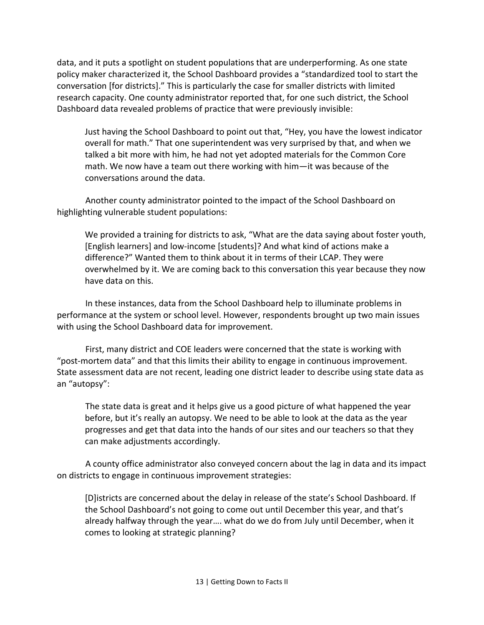data, and it puts a spotlight on student populations that are underperforming. As one state policy maker characterized it, the School Dashboard provides a "standardized tool to start the conversation [for districts]." This is particularly the case for smaller districts with limited research capacity. One county administrator reported that, for one such district, the School Dashboard data revealed problems of practice that were previously invisible:

Just having the School Dashboard to point out that, "Hey, you have the lowest indicator overall for math." That one superintendent was very surprised by that, and when we talked a bit more with him, he had not yet adopted materials for the Common Core math. We now have a team out there working with him—it was because of the conversations around the data.

Another county administrator pointed to the impact of the School Dashboard on highlighting vulnerable student populations:

We provided a training for districts to ask, "What are the data saying about foster youth, [English learners] and low-income [students]? And what kind of actions make a difference?" Wanted them to think about it in terms of their LCAP. They were overwhelmed by it. We are coming back to this conversation this year because they now have data on this.

In these instances, data from the School Dashboard help to illuminate problems in performance at the system or school level. However, respondents brought up two main issues with using the School Dashboard data for improvement.

First, many district and COE leaders were concerned that the state is working with "post-mortem data" and that this limits their ability to engage in continuous improvement. State assessment data are not recent, leading one district leader to describe using state data as an "autopsy":

The state data is great and it helps give us a good picture of what happened the year before, but it's really an autopsy. We need to be able to look at the data as the year progresses and get that data into the hands of our sites and our teachers so that they can make adjustments accordingly.

A county office administrator also conveyed concern about the lag in data and its impact on districts to engage in continuous improvement strategies:

[D]istricts are concerned about the delay in release of the state's School Dashboard. If the School Dashboard's not going to come out until December this year, and that's already halfway through the year…. what do we do from July until December, when it comes to looking at strategic planning?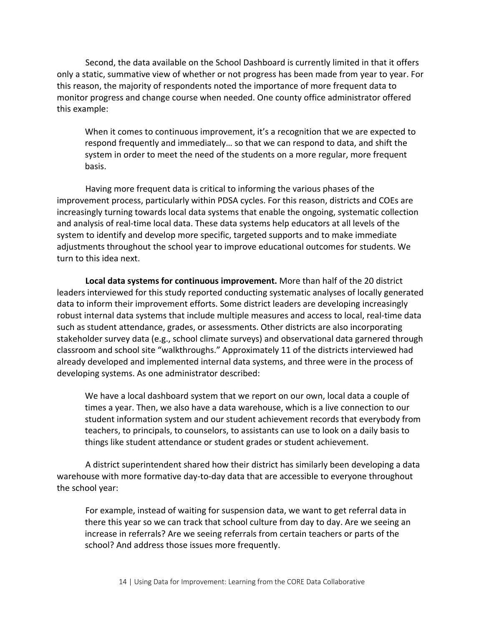Second, the data available on the School Dashboard is currently limited in that it offers only a static, summative view of whether or not progress has been made from year to year. For this reason, the majority of respondents noted the importance of more frequent data to monitor progress and change course when needed. One county office administrator offered this example:

When it comes to continuous improvement, it's a recognition that we are expected to respond frequently and immediately… so that we can respond to data, and shift the system in order to meet the need of the students on a more regular, more frequent basis.

Having more frequent data is critical to informing the various phases of the improvement process, particularly within PDSA cycles. For this reason, districts and COEs are increasingly turning towards local data systems that enable the ongoing, systematic collection and analysis of real-time local data. These data systems help educators at all levels of the system to identify and develop more specific, targeted supports and to make immediate adjustments throughout the school year to improve educational outcomes for students. We turn to this idea next.

**Local data systems for continuous improvement.** More than half of the 20 district leaders interviewed for this study reported conducting systematic analyses of locally generated data to inform their improvement efforts. Some district leaders are developing increasingly robust internal data systems that include multiple measures and access to local, real-time data such as student attendance, grades, or assessments. Other districts are also incorporating stakeholder survey data (e.g., school climate surveys) and observational data garnered through classroom and school site "walkthroughs." Approximately 11 of the districts interviewed had already developed and implemented internal data systems, and three were in the process of developing systems. As one administrator described:

We have a local dashboard system that we report on our own, local data a couple of times a year. Then, we also have a data warehouse, which is a live connection to our student information system and our student achievement records that everybody from teachers, to principals, to counselors, to assistants can use to look on a daily basis to things like student attendance or student grades or student achievement.

A district superintendent shared how their district has similarly been developing a data warehouse with more formative day-to-day data that are accessible to everyone throughout the school year:

For example, instead of waiting for suspension data, we want to get referral data in there this year so we can track that school culture from day to day. Are we seeing an increase in referrals? Are we seeing referrals from certain teachers or parts of the school? And address those issues more frequently.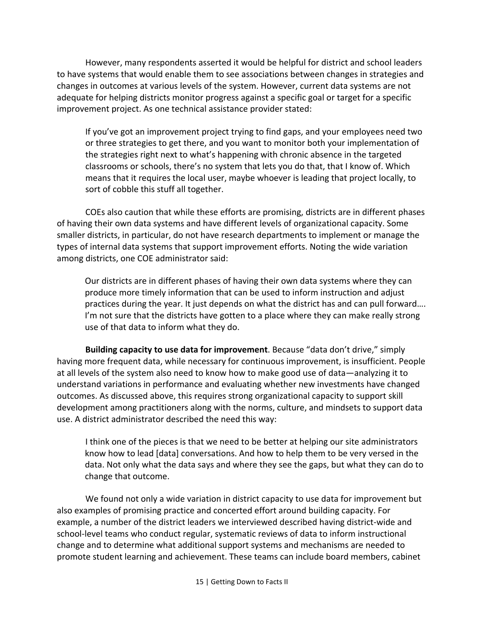However, many respondents asserted it would be helpful for district and school leaders to have systems that would enable them to see associations between changes in strategies and changes in outcomes at various levels of the system. However, current data systems are not adequate for helping districts monitor progress against a specific goal or target for a specific improvement project. As one technical assistance provider stated:

If you've got an improvement project trying to find gaps, and your employees need two or three strategies to get there, and you want to monitor both your implementation of the strategies right next to what's happening with chronic absence in the targeted classrooms or schools, there's no system that lets you do that, that I know of. Which means that it requires the local user, maybe whoever is leading that project locally, to sort of cobble this stuff all together.

COEs also caution that while these efforts are promising, districts are in different phases of having their own data systems and have different levels of organizational capacity. Some smaller districts, in particular, do not have research departments to implement or manage the types of internal data systems that support improvement efforts. Noting the wide variation among districts, one COE administrator said:

Our districts are in different phases of having their own data systems where they can produce more timely information that can be used to inform instruction and adjust practices during the year. It just depends on what the district has and can pull forward…. I'm not sure that the districts have gotten to a place where they can make really strong use of that data to inform what they do.

**Building capacity to use data for improvement**. Because "data don't drive," simply having more frequent data, while necessary for continuous improvement, is insufficient. People at all levels of the system also need to know how to make good use of data—analyzing it to understand variations in performance and evaluating whether new investments have changed outcomes. As discussed above, this requires strong organizational capacity to support skill development among practitioners along with the norms, culture, and mindsets to support data use. A district administrator described the need this way:

I think one of the pieces is that we need to be better at helping our site administrators know how to lead [data] conversations. And how to help them to be very versed in the data. Not only what the data says and where they see the gaps, but what they can do to change that outcome.

We found not only a wide variation in district capacity to use data for improvement but also examples of promising practice and concerted effort around building capacity. For example, a number of the district leaders we interviewed described having district-wide and school-level teams who conduct regular, systematic reviews of data to inform instructional change and to determine what additional support systems and mechanisms are needed to promote student learning and achievement. These teams can include board members, cabinet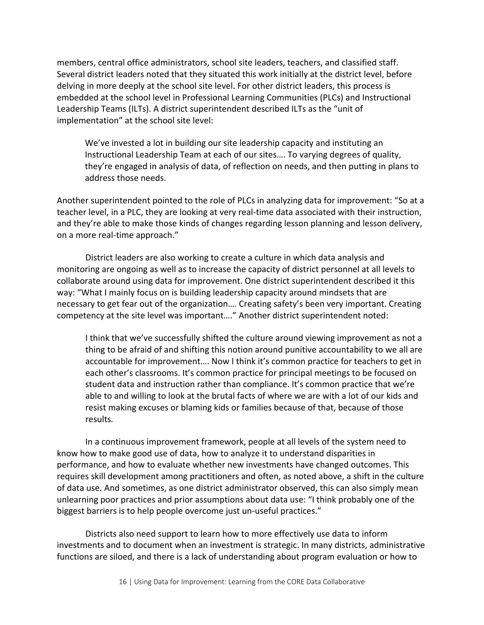members, central office administrators, school site leaders, teachers, and classified staff. Several district leaders noted that they situated this work initially at the district level, before delving in more deeply at the school site level. For other district leaders, this process is embedded at the school level in Professional Learning Communities (PLCs) and Instructional Leadership Teams (ILTs). A district superintendent described ILTs as the "unit of implementation" at the school site level:

We've invested a lot in building our site leadership capacity and instituting an Instructional Leadership Team at each of our sites…. To varying degrees of quality, they're engaged in analysis of data, of reflection on needs, and then putting in plans to address those needs.

Another superintendent pointed to the role of PLCs in analyzing data for improvement: "So at a teacher level, in a PLC, they are looking at very real-time data associated with their instruction, and they're able to make those kinds of changes regarding lesson planning and lesson delivery, on a more real-time approach."

District leaders are also working to create a culture in which data analysis and monitoring are ongoing as well as to increase the capacity of district personnel at all levels to collaborate around using data for improvement. One district superintendent described it this way: "What I mainly focus on is building leadership capacity around mindsets that are necessary to get fear out of the organization…. Creating safety's been very important. Creating competency at the site level was important…." Another district superintendent noted:

I think that we've successfully shifted the culture around viewing improvement as not a thing to be afraid of and shifting this notion around punitive accountability to we all are accountable for improvement…. Now I think it's common practice for teachers to get in each other's classrooms. It's common practice for principal meetings to be focused on student data and instruction rather than compliance. It's common practice that we're able to and willing to look at the brutal facts of where we are with a lot of our kids and resist making excuses or blaming kids or families because of that, because of those results*.*

In a continuous improvement framework, people at all levels of the system need to know how to make good use of data, how to analyze it to understand disparities in performance, and how to evaluate whether new investments have changed outcomes. This requires skill development among practitioners and often, as noted above, a shift in the culture of data use. And sometimes, as one district administrator observed, this can also simply mean unlearning poor practices and prior assumptions about data use: "I think probably one of the biggest barriers is to help people overcome just un-useful practices."

Districts also need support to learn how to more effectively use data to inform investments and to document when an investment is strategic. In many districts, administrative functions are siloed, and there is a lack of understanding about program evaluation or how to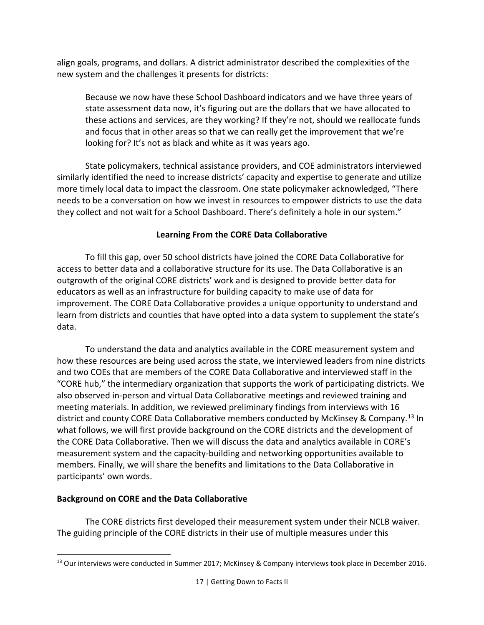align goals, programs, and dollars. A district administrator described the complexities of the new system and the challenges it presents for districts:

Because we now have these School Dashboard indicators and we have three years of state assessment data now, it's figuring out are the dollars that we have allocated to these actions and services, are they working? If they're not, should we reallocate funds and focus that in other areas so that we can really get the improvement that we're looking for? It's not as black and white as it was years ago.

State policymakers, technical assistance providers, and COE administrators interviewed similarly identified the need to increase districts' capacity and expertise to generate and utilize more timely local data to impact the classroom. One state policymaker acknowledged, "There needs to be a conversation on how we invest in resources to empower districts to use the data they collect and not wait for a School Dashboard. There's definitely a hole in our system."

#### **Learning From the CORE Data Collaborative**

To fill this gap, over 50 school districts have joined the CORE Data Collaborative for access to better data and a collaborative structure for its use. The Data Collaborative is an outgrowth of the original CORE districts' work and is designed to provide better data for educators as well as an infrastructure for building capacity to make use of data for improvement. The CORE Data Collaborative provides a unique opportunity to understand and learn from districts and counties that have opted into a data system to supplement the state's data.

To understand the data and analytics available in the CORE measurement system and how these resources are being used across the state, we interviewed leaders from nine districts and two COEs that are members of the CORE Data Collaborative and interviewed staff in the "CORE hub," the intermediary organization that supports the work of participating districts. We also observed in-person and virtual Data Collaborative meetings and reviewed training and meeting materials. In addition, we reviewed preliminary findings from interviews with 16 district and county CORE Data Collaborative members conducted by McKinsey & Company.<sup>[13](#page-18-0)</sup> In what follows, we will first provide background on the CORE districts and the development of the CORE Data Collaborative. Then we will discuss the data and analytics available in CORE's measurement system and the capacity-building and networking opportunities available to members. Finally, we will share the benefits and limitations to the Data Collaborative in participants' own words.

#### **Background on CORE and the Data Collaborative**

The CORE districts first developed their measurement system under their NCLB waiver. The guiding principle of the CORE districts in their use of multiple measures under this

<span id="page-18-0"></span> $\overline{a}$ <sup>13</sup> Our interviews were conducted in Summer 2017; McKinsey & Company interviews took place in December 2016.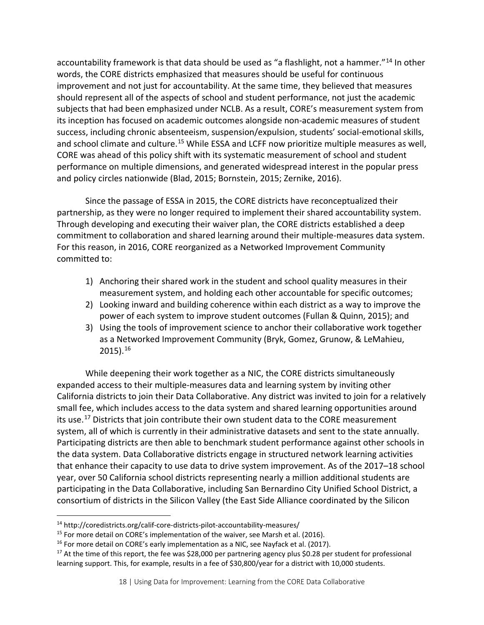accountability framework is that data should be used as "a flashlight, not a hammer."[14](#page-19-0) In other words, the CORE districts emphasized that measures should be useful for continuous improvement and not just for accountability. At the same time, they believed that measures should represent all of the aspects of school and student performance, not just the academic subjects that had been emphasized under NCLB. As a result, CORE's measurement system from its inception has focused on academic outcomes alongside non-academic measures of student success, including chronic absenteeism, suspension/expulsion, students' social-emotional skills, and school climate and culture.<sup>[15](#page-19-1)</sup> While ESSA and LCFF now prioritize multiple measures as well, CORE was ahead of this policy shift with its systematic measurement of school and student performance on multiple dimensions, and generated widespread interest in the popular press and policy circles nationwide (Blad, 2015; Bornstein, 2015; Zernike, 2016).

Since the passage of ESSA in 2015, the CORE districts have reconceptualized their partnership, as they were no longer required to implement their shared accountability system. Through developing and executing their waiver plan, the CORE districts established a deep commitment to collaboration and shared learning around their multiple-measures data system. For this reason, in 2016, CORE reorganized as a Networked Improvement Community committed to:

- 1) Anchoring their shared work in the student and school quality measures in their measurement system, and holding each other accountable for specific outcomes;
- 2) Looking inward and building coherence within each district as a way to improve the power of each system to improve student outcomes (Fullan & Quinn, 2015); and
- 3) Using the tools of improvement science to anchor their collaborative work together as a Networked Improvement Community (Bryk, Gomez, Grunow, & LeMahieu, 2015).[16](#page-19-2)

While deepening their work together as a NIC, the CORE districts simultaneously expanded access to their multiple-measures data and learning system by inviting other California districts to join their Data Collaborative. Any district was invited to join for a relatively small fee, which includes access to the data system and shared learning opportunities around its use.<sup>[17](#page-19-3)</sup> Districts that join contribute their own student data to the CORE measurement system, all of which is currently in their administrative datasets and sent to the state annually. Participating districts are then able to benchmark student performance against other schools in the data system. Data Collaborative districts engage in structured network learning activities that enhance their capacity to use data to drive system improvement. As of the 2017–18 school year, over 50 California school districts representing nearly a million additional students are participating in the Data Collaborative, including San Bernardino City Unified School District, a consortium of districts in the Silicon Valley (the East Side Alliance coordinated by the Silicon

<span id="page-19-0"></span><sup>14</sup> http://coredistricts.org/calif-core-districts-pilot-accountability-measures/

<span id="page-19-1"></span><sup>&</sup>lt;sup>15</sup> For more detail on CORE's implementation of the waiver, see Marsh et al. (2016).<br><sup>16</sup> For more detail on CORE's early implementation as a NIC, see Nayfack et al. (2017).

<span id="page-19-2"></span>

<span id="page-19-3"></span> $17$  At the time of this report, the fee was \$28,000 per partnering agency plus \$0.28 per student for professional learning support. This, for example, results in a fee of \$30,800/year for a district with 10,000 students.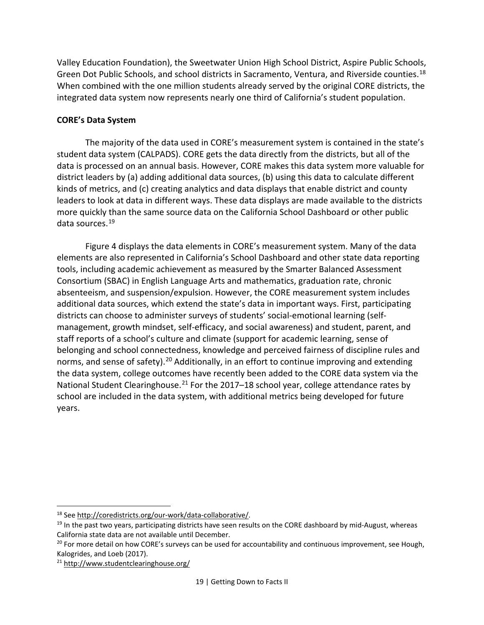Valley Education Foundation), the Sweetwater Union High School District, Aspire Public Schools, Green Dot Public Schools, and school districts in Sacramento, Ventura, and Riverside counties.<sup>[18](#page-20-0)</sup> When combined with the one million students already served by the original CORE districts, the integrated data system now represents nearly one third of California's student population.

#### **CORE's Data System**

The majority of the data used in CORE's measurement system is contained in the state's student data system (CALPADS). CORE gets the data directly from the districts, but all of the data is processed on an annual basis. However, CORE makes this data system more valuable for district leaders by (a) adding additional data sources, (b) using this data to calculate different kinds of metrics, and (c) creating analytics and data displays that enable district and county leaders to look at data in different ways. These data displays are made available to the districts more quickly than the same source data on the California School Dashboard or other public data sources.[19](#page-20-1)

[Figure 4](#page-21-0) displays the data elements in CORE's measurement system. Many of the data elements are also represented in California's School Dashboard and other state data reporting tools, including academic achievement as measured by the Smarter Balanced Assessment Consortium (SBAC) in English Language Arts and mathematics, graduation rate, chronic absenteeism, and suspension/expulsion. However, the CORE measurement system includes additional data sources, which extend the state's data in important ways. First, participating districts can choose to administer surveys of students' social-emotional learning (selfmanagement, growth mindset, self-efficacy, and social awareness) and student, parent, and staff reports of a school's culture and climate (support for academic learning, sense of belonging and school connectedness, knowledge and perceived fairness of discipline rules and norms, and sense of safety).<sup>[20](#page-20-2)</sup> Additionally, in an effort to continue improving and extending the data system, college outcomes have recently been added to the CORE data system via the National Student Clearinghouse.<sup>[21](#page-20-3)</sup> For the 2017–18 school year, college attendance rates by school are included in the data system, with additional metrics being developed for future years.

 $\overline{a}$ 

<span id="page-20-1"></span><span id="page-20-0"></span><sup>&</sup>lt;sup>18</sup> See http://coredistricts.org/our-work/data-collaborative/.<br><sup>19</sup> In the past two years, participating districts have seen results on the CORE dashboard by mid-August, whereas California state data are not available until December.

<span id="page-20-2"></span> $20$  For more detail on how CORE's surveys can be used for accountability and continuous improvement, see Hough, Kalogrides, and Loeb (2017).

<span id="page-20-3"></span><sup>21</sup> <http://www.studentclearinghouse.org/>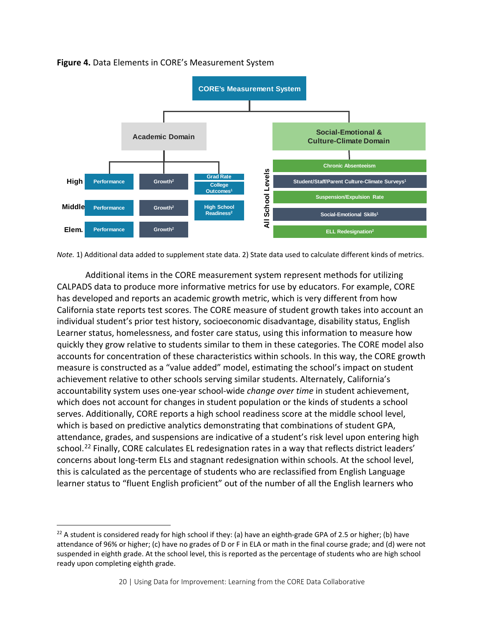

#### <span id="page-21-0"></span>**Figure 4.** Data Elements in CORE's Measurement System

*Note.* 1) Additional data added to supplement state data. 2) State data used to calculate different kinds of metrics.

Additional items in the CORE measurement system represent methods for utilizing CALPADS data to produce more informative metrics for use by educators. For example, CORE has developed and reports an academic growth metric, which is very different from how California state reports test scores. The CORE measure of student growth takes into account an individual student's prior test history, socioeconomic disadvantage, disability status, English Learner status, homelessness, and foster care status, using this information to measure how quickly they grow relative to students similar to them in these categories. The CORE model also accounts for concentration of these characteristics within schools. In this way, the CORE growth measure is constructed as a "value added" model, estimating the school's impact on student achievement relative to other schools serving similar students. Alternately, California's accountability system uses one-year school-wide *change over time* in student achievement, which does not account for changes in student population or the kinds of students a school serves. Additionally, CORE reports a high school readiness score at the middle school level, which is based on predictive analytics demonstrating that combinations of student GPA, attendance, grades, and suspensions are indicative of a student's risk level upon entering high school.<sup>[22](#page-21-1)</sup> Finally, CORE calculates EL redesignation rates in a way that reflects district leaders' concerns about long-term ELs and stagnant redesignation within schools. At the school level, this is calculated as the percentage of students who are reclassified from English Language learner status to "fluent English proficient" out of the number of all the English learners who

<span id="page-21-1"></span><sup>&</sup>lt;sup>22</sup> A student is considered ready for high school if they: (a) have an eighth-grade GPA of 2.5 or higher; (b) have attendance of 96% or higher; (c) have no grades of D or F in ELA or math in the final course grade; and (d) were not suspended in eighth grade. At the school level, this is reported as the percentage of students who are high school ready upon completing eighth grade.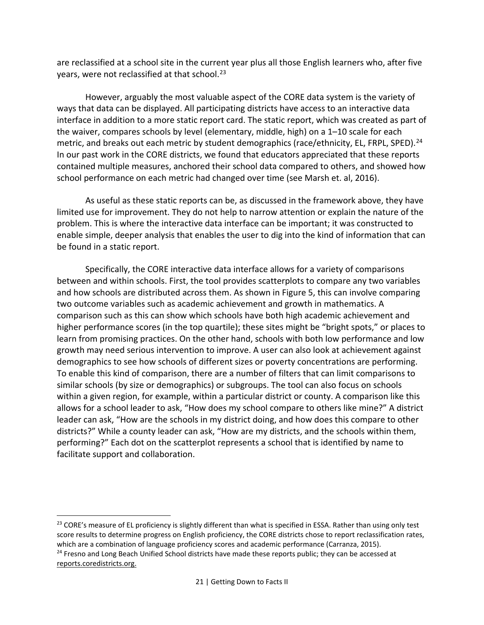are reclassified at a school site in the current year plus all those English learners who, after five years, were not reclassified at that school.<sup>[23](#page-22-0)</sup>

However, arguably the most valuable aspect of the CORE data system is the variety of ways that data can be displayed. All participating districts have access to an interactive data interface in addition to a more static report card. The static report, which was created as part of the waiver, compares schools by level (elementary, middle, high) on a 1–10 scale for each metric, and breaks out each metric by student demographics (race/ethnicity, EL, FRPL, SPED).<sup>[24](#page-22-1)</sup> In our past work in the CORE districts, we found that educators appreciated that these reports contained multiple measures, anchored their school data compared to others, and showed how school performance on each metric had changed over time (see Marsh et. al, 2016).

As useful as these static reports can be, as discussed in the framework above, they have limited use for improvement. They do not help to narrow attention or explain the nature of the problem. This is where the interactive data interface can be important; it was constructed to enable simple, deeper analysis that enables the user to dig into the kind of information that can be found in a static report.

Specifically, the CORE interactive data interface allows for a variety of comparisons between and within schools. First, the tool provides scatterplots to compare any two variables and how schools are distributed across them. As shown in [Figure 5,](#page-23-0) this can involve comparing two outcome variables such as academic achievement and growth in mathematics. A comparison such as this can show which schools have both high academic achievement and higher performance scores (in the top quartile); these sites might be "bright spots," or places to learn from promising practices. On the other hand, schools with both low performance and low growth may need serious intervention to improve. A user can also look at achievement against demographics to see how schools of different sizes or poverty concentrations are performing. To enable this kind of comparison, there are a number of filters that can limit comparisons to similar schools (by size or demographics) or subgroups. The tool can also focus on schools within a given region, for example, within a particular district or county. A comparison like this allows for a school leader to ask, "How does my school compare to others like mine?" A district leader can ask, "How are the schools in my district doing, and how does this compare to other districts?" While a county leader can ask, "How are my districts, and the schools within them, performing?" Each dot on the scatterplot represents a school that is identified by name to facilitate support and collaboration.

<span id="page-22-0"></span> $\overline{a}$ <sup>23</sup> CORE's measure of EL proficiency is slightly different than what is specified in ESSA. Rather than using only test score results to determine progress on English proficiency, the CORE districts chose to report reclassification rates, which are a combination of language proficiency scores and academic performance (Carranza, 2015). <sup>24</sup> Fresno and Long Beach Unified School districts have made these reports public; they can be accessed at

<span id="page-22-1"></span>[reports.coredistricts.org.](http://www.reports.coredistricts.org/)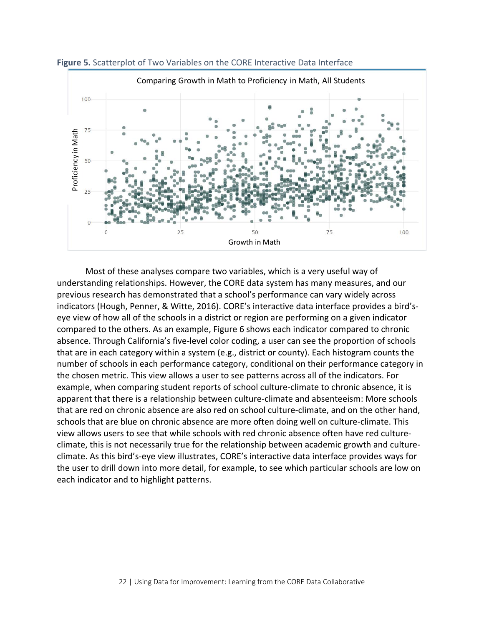

<span id="page-23-0"></span>**Figure 5.** Scatterplot of Two Variables on the CORE Interactive Data Interface

Most of these analyses compare two variables, which is a very useful way of understanding relationships. However, the CORE data system has many measures, and our previous research has demonstrated that a school's performance can vary widely across indicators (Hough, Penner, & Witte, 2016). CORE's interactive data interface provides a bird'seye view of how all of the schools in a district or region are performing on a given indicator compared to the others. As an example, [Figure 6](#page-24-0) shows each indicator compared to chronic absence. Through California's five-level color coding, a user can see the proportion of schools that are in each category within a system (e.g., district or county). Each histogram counts the number of schools in each performance category, conditional on their performance category in the chosen metric. This view allows a user to see patterns across all of the indicators. For example, when comparing student reports of school culture-climate to chronic absence, it is apparent that there is a relationship between culture-climate and absenteeism: More schools that are red on chronic absence are also red on school culture-climate, and on the other hand, schools that are blue on chronic absence are more often doing well on culture-climate. This view allows users to see that while schools with red chronic absence often have red cultureclimate, this is not necessarily true for the relationship between academic growth and cultureclimate. As this bird's-eye view illustrates, CORE's interactive data interface provides ways for the user to drill down into more detail, for example, to see which particular schools are low on each indicator and to highlight patterns.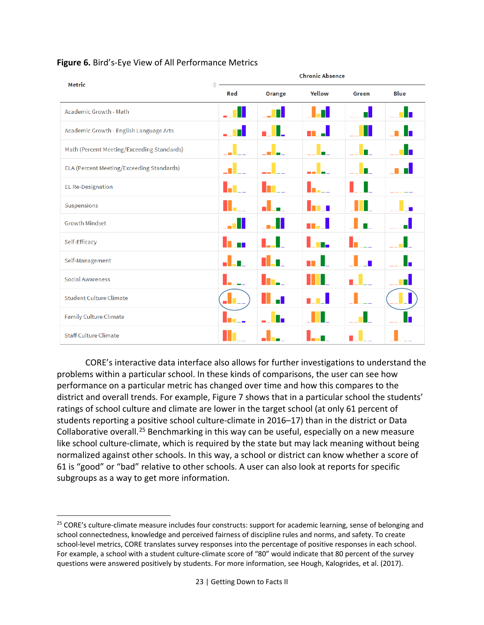| <b>Metric</b>                              | <b>Chronic Absence</b> |        |          |       |             |  |
|--------------------------------------------|------------------------|--------|----------|-------|-------------|--|
|                                            | Red                    | Orange | Yellow   | Green | <b>Blue</b> |  |
| Academic Growth - Math                     |                        |        |          | Н     |             |  |
| Academic Growth - English Language Arts    | п.                     |        |          | Ш     |             |  |
| Math (Percent Meeting/Exceeding Standards) |                        |        |          |       |             |  |
| ELA (Percent Meeting/Exceeding Standards)  |                        |        |          | п.    |             |  |
| <b>EL Re-Designation</b>                   |                        |        | ь        |       |             |  |
| Suspensions                                |                        |        | i s<br>D |       |             |  |
| <b>Growth Mindset</b>                      |                        |        | an a t   |       |             |  |
| Self-Efficacy                              |                        |        | п.       |       |             |  |
| Self-Management                            |                        |        |          |       |             |  |
| <b>Social Awareness</b>                    |                        |        |          |       |             |  |
| <b>Student Culture-Climate</b>             |                        |        |          |       |             |  |
| Family Culture-Climate                     |                        |        |          |       |             |  |
| <b>Staff Culture Climate</b>               |                        |        |          |       |             |  |

#### <span id="page-24-0"></span>**Figure 6.** Bird's-Eye View of All Performance Metrics

CORE's interactive data interface also allows for further investigations to understand the problems within a particular school. In these kinds of comparisons, the user can see how performance on a particular metric has changed over time and how this compares to the district and overall trends. For example, [Figure 7](#page-25-0) shows that in a particular school the students' ratings of school culture and climate are lower in the target school (at only 61 percent of students reporting a positive school culture-climate in 2016–17) than in the district or Data Collaborative overall.<sup>[25](#page-24-1)</sup> Benchmarking in this way can be useful, especially on a new measure like school culture-climate, which is required by the state but may lack meaning without being normalized against other schools. In this way, a school or district can know whether a score of 61 is "good" or "bad" relative to other schools. A user can also look at reports for specific subgroups as a way to get more information.

<span id="page-24-1"></span><sup>&</sup>lt;sup>25</sup> CORE's culture-climate measure includes four constructs: support for academic learning, sense of belonging and school connectedness, knowledge and perceived fairness of discipline rules and norms, and safety. To create school-level metrics, CORE translates survey responses into the percentage of positive responses in each school. For example, a school with a student culture-climate score of "80" would indicate that 80 percent of the survey questions were answered positively by students. For more information, see Hough, Kalogrides, et al. (2017).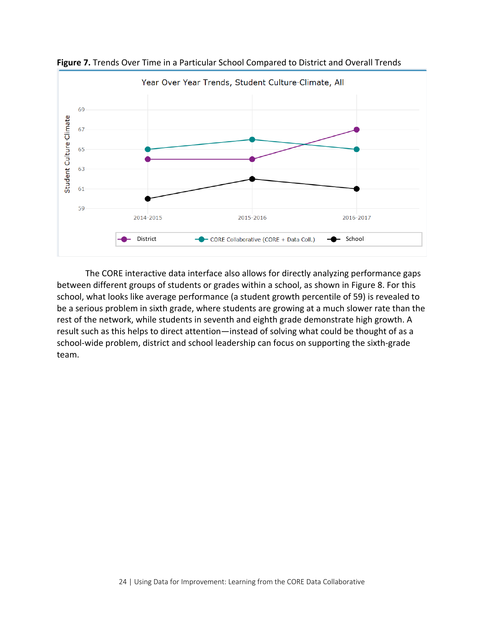

<span id="page-25-0"></span>**Figure 7.** Trends Over Time in a Particular School Compared to District and Overall Trends

The CORE interactive data interface also allows for directly analyzing performance gaps between different groups of students or grades within a school, as shown in [Figure 8.](#page-26-0) For this school, what looks like average performance (a student growth percentile of 59) is revealed to be a serious problem in sixth grade, where students are growing at a much slower rate than the rest of the network, while students in seventh and eighth grade demonstrate high growth. A result such as this helps to direct attention—instead of solving what could be thought of as a school-wide problem, district and school leadership can focus on supporting the sixth-grade team.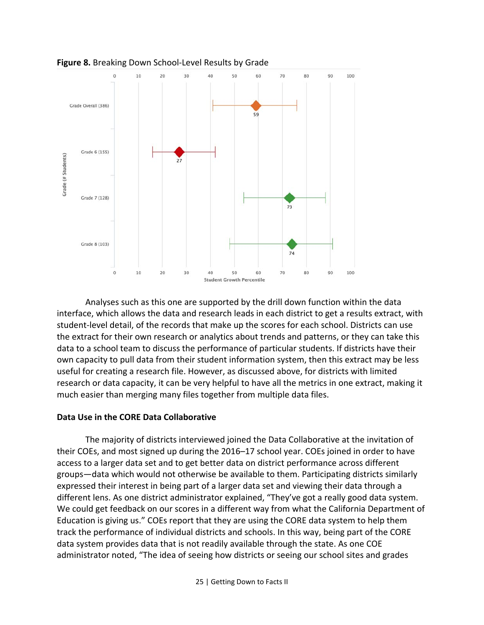

<span id="page-26-0"></span>**Figure 8.** Breaking Down School-Level Results by Grade

Analyses such as this one are supported by the drill down function within the data interface, which allows the data and research leads in each district to get a results extract, with student-level detail, of the records that make up the scores for each school. Districts can use the extract for their own research or analytics about trends and patterns, or they can take this data to a school team to discuss the performance of particular students. If districts have their own capacity to pull data from their student information system, then this extract may be less useful for creating a research file. However, as discussed above, for districts with limited research or data capacity, it can be very helpful to have all the metrics in one extract, making it much easier than merging many files together from multiple data files.

#### **Data Use in the CORE Data Collaborative**

The majority of districts interviewed joined the Data Collaborative at the invitation of their COEs, and most signed up during the 2016–17 school year. COEs joined in order to have access to a larger data set and to get better data on district performance across different groups—data which would not otherwise be available to them. Participating districts similarly expressed their interest in being part of a larger data set and viewing their data through a different lens. As one district administrator explained, "They've got a really good data system. We could get feedback on our scores in a different way from what the California Department of Education is giving us." COEs report that they are using the CORE data system to help them track the performance of individual districts and schools. In this way, being part of the CORE data system provides data that is not readily available through the state. As one COE administrator noted, "The idea of seeing how districts or seeing our school sites and grades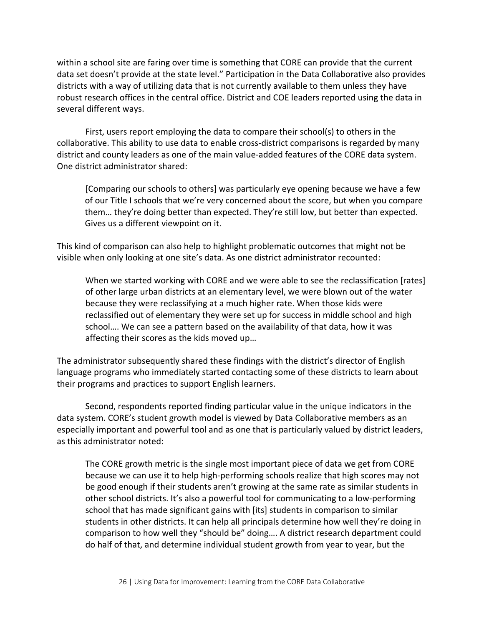within a school site are faring over time is something that CORE can provide that the current data set doesn't provide at the state level." Participation in the Data Collaborative also provides districts with a way of utilizing data that is not currently available to them unless they have robust research offices in the central office. District and COE leaders reported using the data in several different ways.

First, users report employing the data to compare their school(s) to others in the collaborative. This ability to use data to enable cross-district comparisons is regarded by many district and county leaders as one of the main value-added features of the CORE data system. One district administrator shared:

[Comparing our schools to others] was particularly eye opening because we have a few of our Title I schools that we're very concerned about the score, but when you compare them… they're doing better than expected. They're still low, but better than expected. Gives us a different viewpoint on it.

This kind of comparison can also help to highlight problematic outcomes that might not be visible when only looking at one site's data. As one district administrator recounted:

When we started working with CORE and we were able to see the reclassification [rates] of other large urban districts at an elementary level, we were blown out of the water because they were reclassifying at a much higher rate. When those kids were reclassified out of elementary they were set up for success in middle school and high school…. We can see a pattern based on the availability of that data, how it was affecting their scores as the kids moved up…

The administrator subsequently shared these findings with the district's director of English language programs who immediately started contacting some of these districts to learn about their programs and practices to support English learners.

Second, respondents reported finding particular value in the unique indicators in the data system. CORE's student growth model is viewed by Data Collaborative members as an especially important and powerful tool and as one that is particularly valued by district leaders, as this administrator noted:

The CORE growth metric is the single most important piece of data we get from CORE because we can use it to help high-performing schools realize that high scores may not be good enough if their students aren't growing at the same rate as similar students in other school districts. It's also a powerful tool for communicating to a low-performing school that has made significant gains with [its] students in comparison to similar students in other districts. It can help all principals determine how well they're doing in comparison to how well they "should be" doing…. A district research department could do half of that, and determine individual student growth from year to year, but the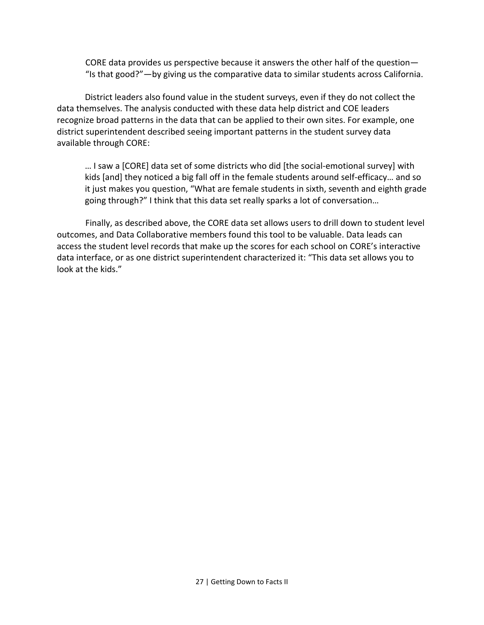CORE data provides us perspective because it answers the other half of the question— "Is that good?"—by giving us the comparative data to similar students across California.

District leaders also found value in the student surveys, even if they do not collect the data themselves. The analysis conducted with these data help district and COE leaders recognize broad patterns in the data that can be applied to their own sites. For example, one district superintendent described seeing important patterns in the student survey data available through CORE:

… I saw a [CORE] data set of some districts who did [the social-emotional survey] with kids [and] they noticed a big fall off in the female students around self-efficacy… and so it just makes you question, "What are female students in sixth, seventh and eighth grade going through?" I think that this data set really sparks a lot of conversation…

Finally, as described above, the CORE data set allows users to drill down to student level outcomes, and Data Collaborative members found this tool to be valuable. Data leads can access the student level records that make up the scores for each school on CORE's interactive data interface, or as one district superintendent characterized it: "This data set allows you to look at the kids."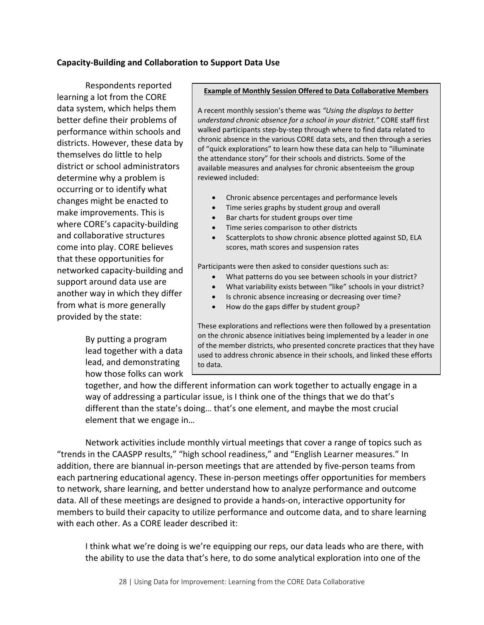#### **Capacity-Building and Collaboration to Support Data Use**

Respondents reported learning a lot from the CORE data system, which helps them better define their problems of performance within schools and districts. However, these data by themselves do little to help district or school administrators determine why a problem is occurring or to identify what changes might be enacted to make improvements. This is where CORE's capacity-building and collaborative structures come into play. CORE believes that these opportunities for networked capacity-building and support around data use are another way in which they differ from what is more generally provided by the state:

> By putting a program lead together with a data lead, and demonstrating how those folks can work

#### **Example of Monthly Session Offered to Data Collaborative Members**

A recent monthly session's theme was *"Using the displays to better understand chronic absence for a school in your district."* CORE staff first walked participants step-by-step through where to find data related to chronic absence in the various CORE data sets, and then through a series of "quick explorations" to learn how these data can help to "illuminate the attendance story" for their schools and districts. Some of the available measures and analyses for chronic absenteeism the group reviewed included:

- Chronic absence percentages and performance levels
- Time series graphs by student group and overall
- Bar charts for student groups over time
- Time series comparison to other districts
- Scatterplots to show chronic absence plotted against SD, ELA scores, math scores and suspension rates

Participants were then asked to consider questions such as:

- What patterns do you see between schools in your district?
- What variability exists between "like" schools in your district?
- Is chronic absence increasing or decreasing over time?
- How do the gaps differ by student group?

These explorations and reflections were then followed by a presentation on the chronic absence initiatives being implemented by a leader in one of the member districts, who presented concrete practices that they have used to address chronic absence in their schools, and linked these efforts to data.

together, and how the different information can work together to actually engage in a way of addressing a particular issue, is I think one of the things that we do that's different than the state's doing… that's one element, and maybe the most crucial element that we engage in…

Network activities include monthly virtual meetings that cover a range of topics such as "trends in the CAASPP results," "high school readiness," and "English Learner measures." In addition, there are biannual in-person meetings that are attended by five-person teams from each partnering educational agency. These in-person meetings offer opportunities for members to network, share learning, and better understand how to analyze performance and outcome data. All of these meetings are designed to provide a hands-on, interactive opportunity for members to build their capacity to utilize performance and outcome data, and to share learning with each other. As a CORE leader described it:

I think what we're doing is we're equipping our reps, our data leads who are there, with the ability to use the data that's here, to do some analytical exploration into one of the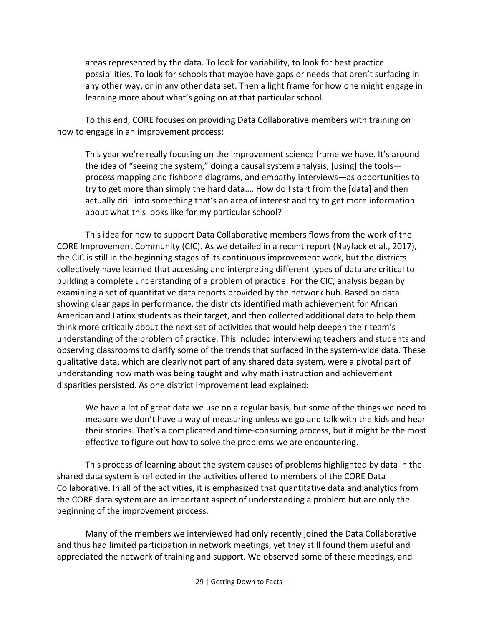areas represented by the data. To look for variability, to look for best practice possibilities. To look for schools that maybe have gaps or needs that aren't surfacing in any other way, or in any other data set. Then a light frame for how one might engage in learning more about what's going on at that particular school.

To this end, CORE focuses on providing Data Collaborative members with training on how to engage in an improvement process:

This year we're really focusing on the improvement science frame we have. It's around the idea of "seeing the system," doing a causal system analysis, [using] the tools process mapping and fishbone diagrams, and empathy interviews—as opportunities to try to get more than simply the hard data…. How do I start from the [data] and then actually drill into something that's an area of interest and try to get more information about what this looks like for my particular school?

This idea for how to support Data Collaborative members flows from the work of the CORE Improvement Community (CIC). As we detailed in a recent report (Nayfack et al., 2017), the CIC is still in the beginning stages of its continuous improvement work, but the districts collectively have learned that accessing and interpreting different types of data are critical to building a complete understanding of a problem of practice. For the CIC, analysis began by examining a set of quantitative data reports provided by the network hub. Based on data showing clear gaps in performance, the districts identified math achievement for African American and Latinx students as their target, and then collected additional data to help them think more critically about the next set of activities that would help deepen their team's understanding of the problem of practice. This included interviewing teachers and students and observing classrooms to clarify some of the trends that surfaced in the system-wide data. These qualitative data, which are clearly not part of any shared data system, were a pivotal part of understanding how math was being taught and why math instruction and achievement disparities persisted. As one district improvement lead explained:

We have a lot of great data we use on a regular basis, but some of the things we need to measure we don't have a way of measuring unless we go and talk with the kids and hear their stories. That's a complicated and time-consuming process, but it might be the most effective to figure out how to solve the problems we are encountering.

This process of learning about the system causes of problems highlighted by data in the shared data system is reflected in the activities offered to members of the CORE Data Collaborative. In all of the activities, it is emphasized that quantitative data and analytics from the CORE data system are an important aspect of understanding a problem but are only the beginning of the improvement process.

Many of the members we interviewed had only recently joined the Data Collaborative and thus had limited participation in network meetings, yet they still found them useful and appreciated the network of training and support. We observed some of these meetings, and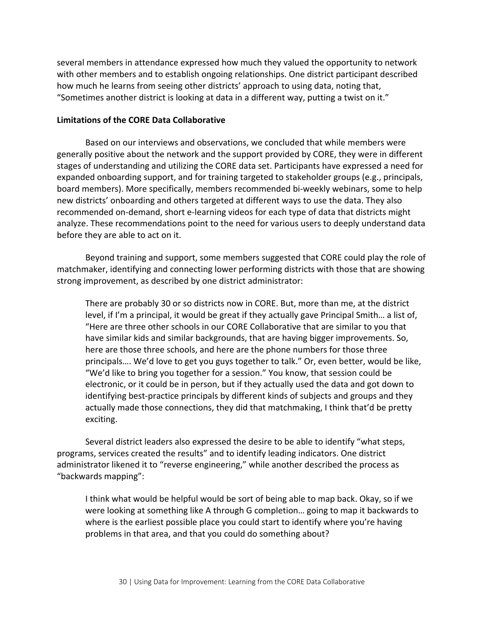several members in attendance expressed how much they valued the opportunity to network with other members and to establish ongoing relationships. One district participant described how much he learns from seeing other districts' approach to using data, noting that, "Sometimes another district is looking at data in a different way, putting a twist on it."

#### **Limitations of the CORE Data Collaborative**

Based on our interviews and observations, we concluded that while members were generally positive about the network and the support provided by CORE, they were in different stages of understanding and utilizing the CORE data set. Participants have expressed a need for expanded onboarding support, and for training targeted to stakeholder groups (e.g., principals, board members). More specifically, members recommended bi-weekly webinars, some to help new districts' onboarding and others targeted at different ways to use the data. They also recommended on-demand, short e-learning videos for each type of data that districts might analyze. These recommendations point to the need for various users to deeply understand data before they are able to act on it.

Beyond training and support, some members suggested that CORE could play the role of matchmaker, identifying and connecting lower performing districts with those that are showing strong improvement, as described by one district administrator:

There are probably 30 or so districts now in CORE. But, more than me, at the district level, if I'm a principal, it would be great if they actually gave Principal Smith… a list of, "Here are three other schools in our CORE Collaborative that are similar to you that have similar kids and similar backgrounds, that are having bigger improvements. So, here are those three schools, and here are the phone numbers for those three principals…. We'd love to get you guys together to talk." Or, even better, would be like, "We'd like to bring you together for a session." You know, that session could be electronic, or it could be in person, but if they actually used the data and got down to identifying best-practice principals by different kinds of subjects and groups and they actually made those connections, they did that matchmaking, I think that'd be pretty exciting.

Several district leaders also expressed the desire to be able to identify "what steps, programs, services created the results" and to identify leading indicators. One district administrator likened it to "reverse engineering," while another described the process as "backwards mapping":

I think what would be helpful would be sort of being able to map back. Okay, so if we were looking at something like A through G completion… going to map it backwards to where is the earliest possible place you could start to identify where you're having problems in that area, and that you could do something about?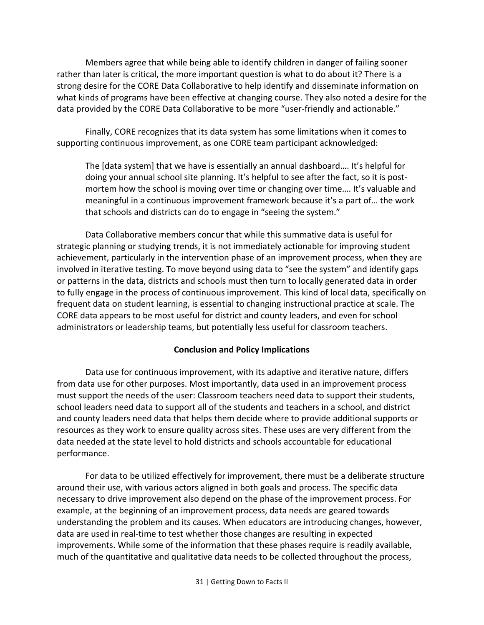Members agree that while being able to identify children in danger of failing sooner rather than later is critical, the more important question is what to do about it? There is a strong desire for the CORE Data Collaborative to help identify and disseminate information on what kinds of programs have been effective at changing course. They also noted a desire for the data provided by the CORE Data Collaborative to be more "user-friendly and actionable."

Finally, CORE recognizes that its data system has some limitations when it comes to supporting continuous improvement, as one CORE team participant acknowledged:

The [data system] that we have is essentially an annual dashboard…. It's helpful for doing your annual school site planning. It's helpful to see after the fact, so it is postmortem how the school is moving over time or changing over time…. It's valuable and meaningful in a continuous improvement framework because it's a part of… the work that schools and districts can do to engage in "seeing the system."

Data Collaborative members concur that while this summative data is useful for strategic planning or studying trends, it is not immediately actionable for improving student achievement, particularly in the intervention phase of an improvement process, when they are involved in iterative testing. To move beyond using data to "see the system" and identify gaps or patterns in the data, districts and schools must then turn to locally generated data in order to fully engage in the process of continuous improvement. This kind of local data, specifically on frequent data on student learning, is essential to changing instructional practice at scale. The CORE data appears to be most useful for district and county leaders, and even for school administrators or leadership teams, but potentially less useful for classroom teachers.

#### **Conclusion and Policy Implications**

Data use for continuous improvement, with its adaptive and iterative nature, differs from data use for other purposes. Most importantly, data used in an improvement process must support the needs of the user: Classroom teachers need data to support their students, school leaders need data to support all of the students and teachers in a school, and district and county leaders need data that helps them decide where to provide additional supports or resources as they work to ensure quality across sites. These uses are very different from the data needed at the state level to hold districts and schools accountable for educational performance.

For data to be utilized effectively for improvement, there must be a deliberate structure around their use, with various actors aligned in both goals and process. The specific data necessary to drive improvement also depend on the phase of the improvement process. For example, at the beginning of an improvement process, data needs are geared towards understanding the problem and its causes. When educators are introducing changes, however, data are used in real-time to test whether those changes are resulting in expected improvements. While some of the information that these phases require is readily available, much of the quantitative and qualitative data needs to be collected throughout the process,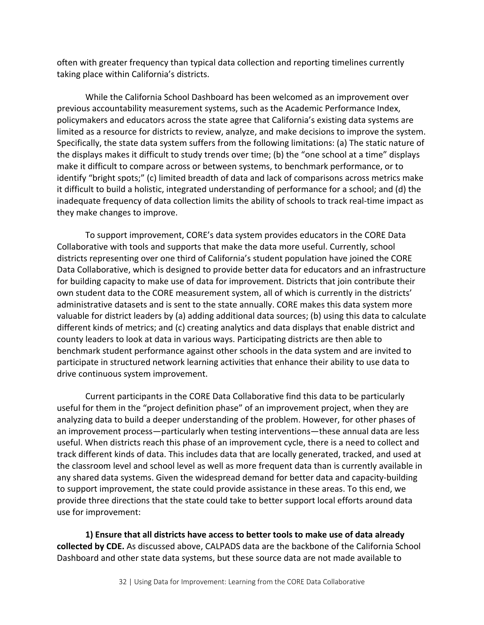often with greater frequency than typical data collection and reporting timelines currently taking place within California's districts.

While the California School Dashboard has been welcomed as an improvement over previous accountability measurement systems, such as the Academic Performance Index, policymakers and educators across the state agree that California's existing data systems are limited as a resource for districts to review, analyze, and make decisions to improve the system. Specifically, the state data system suffers from the following limitations: (a) The static nature of the displays makes it difficult to study trends over time; (b) the "one school at a time" displays make it difficult to compare across or between systems, to benchmark performance, or to identify "bright spots;" (c) limited breadth of data and lack of comparisons across metrics make it difficult to build a holistic, integrated understanding of performance for a school; and (d) the inadequate frequency of data collection limits the ability of schools to track real-time impact as they make changes to improve.

To support improvement, CORE's data system provides educators in the CORE Data Collaborative with tools and supports that make the data more useful. Currently, school districts representing over one third of California's student population have joined the CORE Data Collaborative, which is designed to provide better data for educators and an infrastructure for building capacity to make use of data for improvement. Districts that join contribute their own student data to the CORE measurement system, all of which is currently in the districts' administrative datasets and is sent to the state annually. CORE makes this data system more valuable for district leaders by (a) adding additional data sources; (b) using this data to calculate different kinds of metrics; and (c) creating analytics and data displays that enable district and county leaders to look at data in various ways. Participating districts are then able to benchmark student performance against other schools in the data system and are invited to participate in structured network learning activities that enhance their ability to use data to drive continuous system improvement.

Current participants in the CORE Data Collaborative find this data to be particularly useful for them in the "project definition phase" of an improvement project, when they are analyzing data to build a deeper understanding of the problem. However, for other phases of an improvement process—particularly when testing interventions—these annual data are less useful. When districts reach this phase of an improvement cycle, there is a need to collect and track different kinds of data. This includes data that are locally generated, tracked, and used at the classroom level and school level as well as more frequent data than is currently available in any shared data systems. Given the widespread demand for better data and capacity-building to support improvement, the state could provide assistance in these areas. To this end, we provide three directions that the state could take to better support local efforts around data use for improvement:

**1) Ensure that all districts have access to better tools to make use of data already collected by CDE.** As discussed above, CALPADS data are the backbone of the California School Dashboard and other state data systems, but these source data are not made available to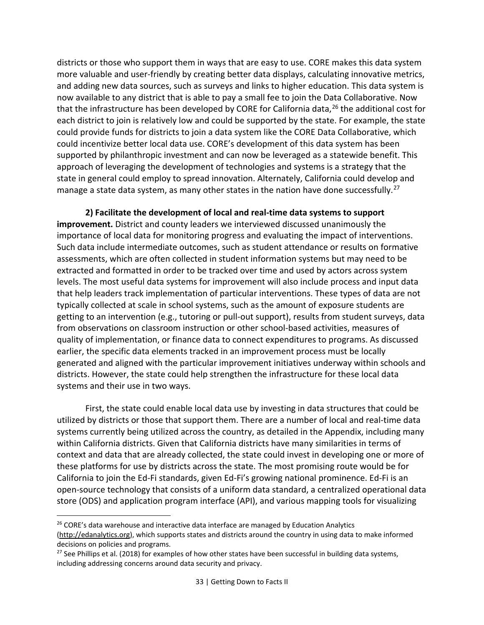districts or those who support them in ways that are easy to use. CORE makes this data system more valuable and user-friendly by creating better data displays, calculating innovative metrics, and adding new data sources, such as surveys and links to higher education. This data system is now available to any district that is able to pay a small fee to join the Data Collaborative. Now that the infrastructure has been developed by CORE for California data,<sup>[26](#page-34-0)</sup> the additional cost for each district to join is relatively low and could be supported by the state. For example, the state could provide funds for districts to join a data system like the CORE Data Collaborative, which could incentivize better local data use. CORE's development of this data system has been supported by philanthropic investment and can now be leveraged as a statewide benefit. This approach of leveraging the development of technologies and systems is a strategy that the state in general could employ to spread innovation. Alternately, California could develop and manage a state data system, as many other states in the nation have done successfully.<sup>[27](#page-34-1)</sup>

**2) Facilitate the development of local and real-time data systems to support improvement.** District and county leaders we interviewed discussed unanimously the importance of local data for monitoring progress and evaluating the impact of interventions. Such data include intermediate outcomes, such as student attendance or results on formative assessments, which are often collected in student information systems but may need to be extracted and formatted in order to be tracked over time and used by actors across system levels. The most useful data systems for improvement will also include process and input data that help leaders track implementation of particular interventions. These types of data are not typically collected at scale in school systems, such as the amount of exposure students are getting to an intervention (e.g., tutoring or pull-out support), results from student surveys, data from observations on classroom instruction or other school-based activities, measures of quality of implementation, or finance data to connect expenditures to programs. As discussed earlier, the specific data elements tracked in an improvement process must be locally generated and aligned with the particular improvement initiatives underway within schools and districts. However, the state could help strengthen the infrastructure for these local data systems and their use in two ways.

First, the state could enable local data use by investing in data structures that could be utilized by districts or those that support them. There are a number of local and real-time data systems currently being utilized across the country, as detailed in the Appendix, including many within California districts. Given that California districts have many similarities in terms of context and data that are already collected, the state could invest in developing one or more of these platforms for use by districts across the state. The most promising route would be for California to join the Ed-Fi standards, given Ed-Fi's growing national prominence. Ed-Fi is an open-source technology that consists of a uniform data standard, a centralized operational data store (ODS) and application program interface (API), and various mapping tools for visualizing

<span id="page-34-0"></span><sup>&</sup>lt;sup>26</sup> CORE's data warehouse and interactive data interface are managed by Education Analytics [\(http://edanalytics.org\)](http://edanalytics.org/), which supports states and districts around the country in using data to make informed decisions on policies and programs.

<span id="page-34-1"></span> $27$  See Phillips et al. (2018) for examples of how other states have been successful in building data systems, including addressing concerns around data security and privacy.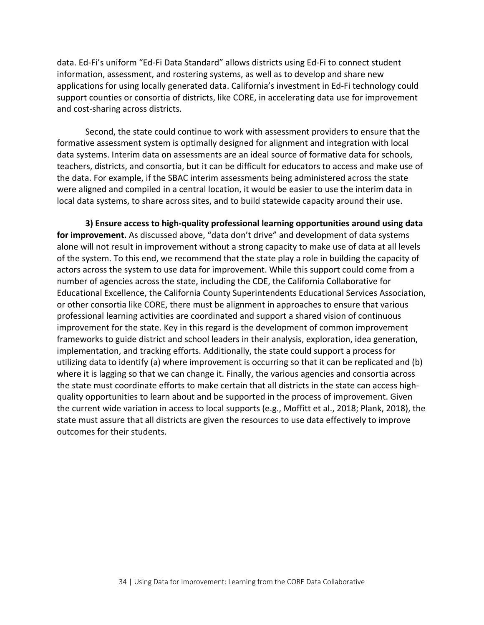data. Ed-Fi's uniform "Ed-Fi Data Standard" allows districts using Ed-Fi to connect student information, assessment, and rostering systems, as well as to develop and share new applications for using locally generated data. California's investment in Ed-Fi technology could support counties or consortia of districts, like CORE, in accelerating data use for improvement and cost-sharing across districts.

Second, the state could continue to work with assessment providers to ensure that the formative assessment system is optimally designed for alignment and integration with local data systems. Interim data on assessments are an ideal source of formative data for schools, teachers, districts, and consortia, but it can be difficult for educators to access and make use of the data. For example, if the SBAC interim assessments being administered across the state were aligned and compiled in a central location, it would be easier to use the interim data in local data systems, to share across sites, and to build statewide capacity around their use.

**3) Ensure access to high-quality professional learning opportunities around using data for improvement.** As discussed above, "data don't drive" and development of data systems alone will not result in improvement without a strong capacity to make use of data at all levels of the system. To this end, we recommend that the state play a role in building the capacity of actors across the system to use data for improvement. While this support could come from a number of agencies across the state, including the CDE, the California Collaborative for Educational Excellence, the California County Superintendents Educational Services Association, or other consortia like CORE, there must be alignment in approaches to ensure that various professional learning activities are coordinated and support a shared vision of continuous improvement for the state. Key in this regard is the development of common improvement frameworks to guide district and school leaders in their analysis, exploration, idea generation, implementation, and tracking efforts. Additionally, the state could support a process for utilizing data to identify (a) where improvement is occurring so that it can be replicated and (b) where it is lagging so that we can change it. Finally, the various agencies and consortia across the state must coordinate efforts to make certain that all districts in the state can access highquality opportunities to learn about and be supported in the process of improvement. Given the current wide variation in access to local supports (e.g., Moffitt et al., 2018; Plank, 2018), the state must assure that all districts are given the resources to use data effectively to improve outcomes for their students.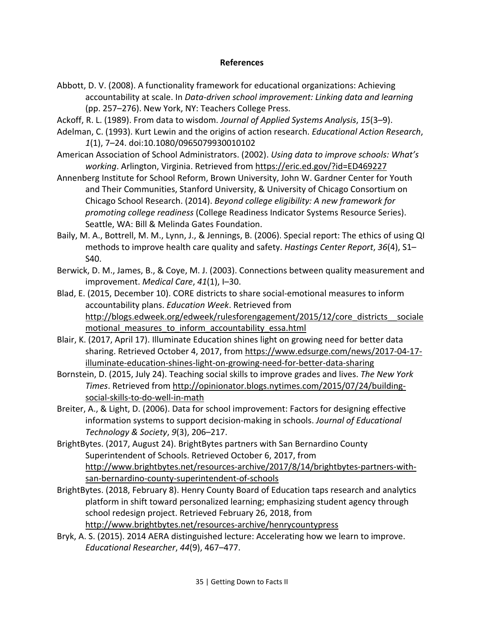#### **References**

- Abbott, D. V. (2008). A functionality framework for educational organizations: Achieving accountability at scale. In *Data-driven school improvement: Linking data and learning* (pp. 257–276). New York, NY: Teachers College Press.
- Ackoff, R. L. (1989). From data to wisdom. *Journal of Applied Systems Analysis*, *15*(3–9).
- Adelman, C. (1993). Kurt Lewin and the origins of action research. *Educational Action Research*, *1*(1), 7–24. doi:10.1080/0965079930010102
- American Association of School Administrators. (2002). *Using data to improve schools: What's working*. Arlington, Virginia. Retrieved from<https://eric.ed.gov/?id=ED469227>
- Annenberg Institute for School Reform, Brown University, John W. Gardner Center for Youth and Their Communities, Stanford University, & University of Chicago Consortium on Chicago School Research. (2014). *Beyond college eligibility: A new framework for promoting college readiness* (College Readiness Indicator Systems Resource Series). Seattle, WA: Bill & Melinda Gates Foundation.
- Baily, M. A., Bottrell, M. M., Lynn, J., & Jennings, B. (2006). Special report: The ethics of using QI methods to improve health care quality and safety. *Hastings Center Report*, *36*(4), S1– S40.
- Berwick, D. M., James, B., & Coye, M. J. (2003). Connections between quality measurement and improvement. *Medical Care*, *41*(1), I–30.
- Blad, E. (2015, December 10). CORE districts to share social-emotional measures to inform accountability plans. *Education Week*. Retrieved from http://blogs.edweek.org/edweek/rulesforengagement/2015/12/core\_districts\_sociale motional measures to inform accountability essa.html
- Blair, K. (2017, April 17). Illuminate Education shines light on growing need for better data sharing. Retrieved October 4, 2017, from [https://www.edsurge.com/news/2017-04-17](https://www.edsurge.com/news/2017-04-17-illuminate-education-shines-light-on-growing-need-for-better-data-sharing) [illuminate-education-shines-light-on-growing-need-for-better-data-sharing](https://www.edsurge.com/news/2017-04-17-illuminate-education-shines-light-on-growing-need-for-better-data-sharing)
- Bornstein, D. (2015, July 24). Teaching social skills to improve grades and lives. *The New York Times*. Retrieved from [http://opinionator.blogs.nytimes.com/2015/07/24/building](http://opinionator.blogs.nytimes.com/2015/07/24/building-social-skills-to-do-well-in-math)[social-skills-to-do-well-in-math](http://opinionator.blogs.nytimes.com/2015/07/24/building-social-skills-to-do-well-in-math)
- Breiter, A., & Light, D. (2006). Data for school improvement: Factors for designing effective information systems to support decision-making in schools. *Journal of Educational Technology & Society*, *9*(3), 206–217.
- BrightBytes. (2017, August 24). BrightBytes partners with San Bernardino County Superintendent of Schools. Retrieved October 6, 2017, from [http://www.brightbytes.net/resources-archive/2017/8/14/brightbytes-partners-with](http://www.brightbytes.net/resources-archive/2017/8/14/brightbytes-partners-with-san-bernardino-county-superintendent-of-schools)[san-bernardino-county-superintendent-of-schools](http://www.brightbytes.net/resources-archive/2017/8/14/brightbytes-partners-with-san-bernardino-county-superintendent-of-schools)
- BrightBytes. (2018, February 8). Henry County Board of Education taps research and analytics platform in shift toward personalized learning; emphasizing student agency through school redesign project. Retrieved February 26, 2018, from <http://www.brightbytes.net/resources-archive/henrycountypress>
- Bryk, A. S. (2015). 2014 AERA distinguished lecture: Accelerating how we learn to improve. *Educational Researcher*, *44*(9), 467–477.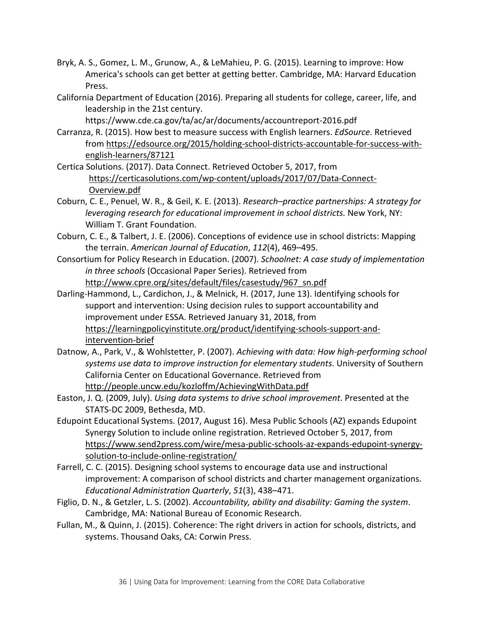- Bryk, A. S., Gomez, L. M., Grunow, A., & LeMahieu, P. G. (2015). Learning to improve: How America's schools can get better at getting better. Cambridge, MA: Harvard Education Press.
- California Department of Education (2016). Preparing all students for college, career, life, and leadership in the 21st century.

https://www.cde.ca.gov/ta/ac/ar/documents/accountreport-2016.pdf

- Carranza, R. (2015). How best to measure success with English learners. *EdSource*. Retrieved from [https://edsource.org/2015/holding-school-districts-accountable-for-success-with](https://edsource.org/2015/holding-school-districts-accountable-for-success-with-english-learners/87121)[english-learners/87121](https://edsource.org/2015/holding-school-districts-accountable-for-success-with-english-learners/87121)
- Certica Solutions. (2017). Data Connect. Retrieved October 5, 2017, from [https://certicasolutions.com/wp-content/uploads/2017/07/Data-Connect-](https://certicasolutions.com/wp-content/uploads/2017/07/Data-Connect-Overview.pdf)[Overview.pdf](https://certicasolutions.com/wp-content/uploads/2017/07/Data-Connect-Overview.pdf)
- Coburn, C. E., Penuel, W. R., & Geil, K. E. (2013). *Research–practice partnerships: A strategy for leveraging research for educational improvement in school districts.* New York, NY: William T. Grant Foundation.
- Coburn, C. E., & Talbert, J. E. (2006). Conceptions of evidence use in school districts: Mapping the terrain. *American Journal of Education*, *112*(4), 469–495.
- Consortium for Policy Research in Education. (2007). *Schoolnet: A case study of implementation in three schools* (Occasional Paper Series). Retrieved from [http://www.cpre.org/sites/default/files/casestudy/967\\_sn.pdf](http://www.cpre.org/sites/default/files/casestudy/967_sn.pdf)
- Darling-Hammond, L., Cardichon, J., & Melnick, H. (2017, June 13). Identifying schools for support and intervention: Using decision rules to support accountability and improvement under ESSA. Retrieved January 31, 2018, from [https://learningpolicyinstitute.org/product/identifying-schools-support-and](https://learningpolicyinstitute.org/product/identifying-schools-support-and-intervention-brief)[intervention-brief](https://learningpolicyinstitute.org/product/identifying-schools-support-and-intervention-brief)
- Datnow, A., Park, V., & Wohlstetter, P. (2007). *Achieving with data: How high-performing school systems use data to improve instruction for elementary students*. University of Southern California Center on Educational Governance. Retrieved from <http://people.uncw.edu/kozloffm/AchievingWithData.pdf>
- Easton, J. Q. (2009, July). *Using data systems to drive school improvement*. Presented at the STATS-DC 2009, Bethesda, MD.
- Edupoint Educational Systems. (2017, August 16). Mesa Public Schools (AZ) expands Edupoint Synergy Solution to include online registration. Retrieved October 5, 2017, from [https://www.send2press.com/wire/mesa-public-schools-az-expands-edupoint-synergy](https://www.send2press.com/wire/mesa-public-schools-az-expands-edupoint-synergy-solution-to-include-online-registration/)[solution-to-include-online-registration/](https://www.send2press.com/wire/mesa-public-schools-az-expands-edupoint-synergy-solution-to-include-online-registration/)
- Farrell, C. C. (2015). Designing school systems to encourage data use and instructional improvement: A comparison of school districts and charter management organizations. *Educational Administration Quarterly*, *51*(3), 438–471.
- Figlio, D. N., & Getzler, L. S. (2002). *Accountability, ability and disability: Gaming the system*. Cambridge, MA: National Bureau of Economic Research.
- Fullan, M., & Quinn, J. (2015). Coherence: The right drivers in action for schools, districts, and systems. Thousand Oaks, CA: Corwin Press.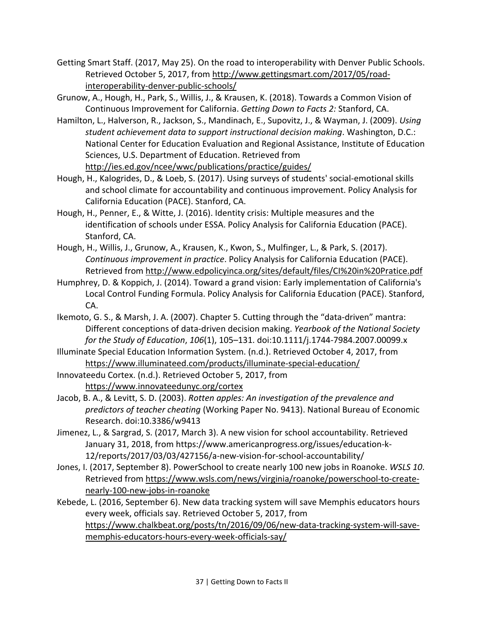- Getting Smart Staff. (2017, May 25). On the road to interoperability with Denver Public Schools. Retrieved October 5, 2017, from [http://www.gettingsmart.com/2017/05/road](http://www.gettingsmart.com/2017/05/road-interoperability-denver-public-schools/)[interoperability-denver-public-schools/](http://www.gettingsmart.com/2017/05/road-interoperability-denver-public-schools/)
- Grunow, A., Hough, H., Park, S., Willis, J., & Krausen, K. (2018). Towards a Common Vision of Continuous Improvement for California. *Getting Down to Facts 2:* Stanford, CA.
- Hamilton, L., Halverson, R., Jackson, S., Mandinach, E., Supovitz, J., & Wayman, J. (2009). *Using student achievement data to support instructional decision making*. Washington, D.C.: National Center for Education Evaluation and Regional Assistance, Institute of Education Sciences, U.S. Department of Education. Retrieved from <http://ies.ed.gov/ncee/wwc/publications/practice/guides/>
- Hough, H., Kalogrides, D., & Loeb, S. (2017). Using surveys of students' social-emotional skills and school climate for accountability and continuous improvement. Policy Analysis for California Education (PACE). Stanford, CA.
- Hough, H., Penner, E., & Witte, J. (2016). Identity crisis: Multiple measures and the identification of schools under ESSA. Policy Analysis for California Education (PACE). Stanford, CA.
- Hough, H., Willis, J., Grunow, A., Krausen, K., Kwon, S., Mulfinger, L., & Park, S. (2017). *Continuous improvement in practice*. Policy Analysis for California Education (PACE). Retrieved from<http://www.edpolicyinca.org/sites/default/files/CI%20in%20Pratice.pdf>
- Humphrey, D. & Koppich, J. (2014). Toward a grand vision: Early implementation of California's Local Control Funding Formula. Policy Analysis for California Education (PACE). Stanford, CA.
- Ikemoto, G. S., & Marsh, J. A. (2007). Chapter 5. Cutting through the "data-driven" mantra: Different conceptions of data-driven decision making. *Yearbook of the National Society for the Study of Education*, *106*(1), 105–131. doi:10.1111/j.1744-7984.2007.00099.x
- Illuminate Special Education Information System. (n.d.). Retrieved October 4, 2017, from <https://www.illuminateed.com/products/illuminate-special-education/>
- Innovateedu Cortex. (n.d.). Retrieved October 5, 2017, from <https://www.innovateedunyc.org/cortex>
- Jacob, B. A., & Levitt, S. D. (2003). *Rotten apples: An investigation of the prevalence and predictors of teacher cheating* (Working Paper No. 9413). National Bureau of Economic Research. doi:10.3386/w9413
- Jimenez, L., & Sargrad, S. (2017, March 3). A new vision for school accountability. Retrieved January 31, 2018, from https://www.americanprogress.org/issues/education-k-12/reports/2017/03/03/427156/a-new-vision-for-school-accountability/
- Jones, I. (2017, September 8). PowerSchool to create nearly 100 new jobs in Roanoke. *WSLS 10*. Retrieved from [https://www.wsls.com/news/virginia/roanoke/powerschool-to-create](https://www.wsls.com/news/virginia/roanoke/powerschool-to-create-nearly-100-new-jobs-in-roanoke)[nearly-100-new-jobs-in-roanoke](https://www.wsls.com/news/virginia/roanoke/powerschool-to-create-nearly-100-new-jobs-in-roanoke)
- Kebede, L. (2016, September 6). New data tracking system will save Memphis educators hours every week, officials say. Retrieved October 5, 2017, from [https://www.chalkbeat.org/posts/tn/2016/09/06/new-data-tracking-system-will-save](https://www.chalkbeat.org/posts/tn/2016/09/06/new-data-tracking-system-will-save-memphis-educators-hours-every-week-officials-say/)[memphis-educators-hours-every-week-officials-say/](https://www.chalkbeat.org/posts/tn/2016/09/06/new-data-tracking-system-will-save-memphis-educators-hours-every-week-officials-say/)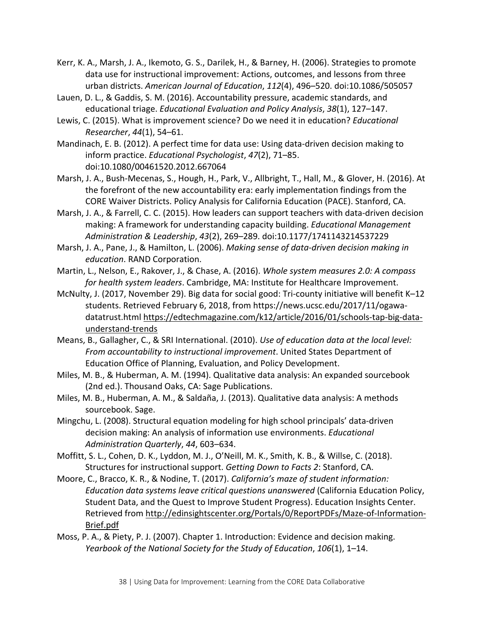- Kerr, K. A., Marsh, J. A., Ikemoto, G. S., Darilek, H., & Barney, H. (2006). Strategies to promote data use for instructional improvement: Actions, outcomes, and lessons from three urban districts. *American Journal of Education*, *112*(4), 496–520. doi:10.1086/505057
- Lauen, D. L., & Gaddis, S. M. (2016). Accountability pressure, academic standards, and educational triage. *Educational Evaluation and Policy Analysis*, *38*(1), 127–147.
- Lewis, C. (2015). What is improvement science? Do we need it in education? *Educational Researcher*, *44*(1), 54–61.
- Mandinach, E. B. (2012). A perfect time for data use: Using data-driven decision making to inform practice. *Educational Psychologist*, *47*(2), 71–85. doi:10.1080/00461520.2012.667064
- Marsh, J. A., Bush-Mecenas, S., Hough, H., Park, V., Allbright, T., Hall, M., & Glover, H. (2016). At the forefront of the new accountability era: early implementation findings from the CORE Waiver Districts. Policy Analysis for California Education (PACE). Stanford, CA.
- Marsh, J. A., & Farrell, C. C. (2015). How leaders can support teachers with data-driven decision making: A framework for understanding capacity building. *Educational Management Administration & Leadership*, *43*(2), 269–289. doi:10.1177/1741143214537229
- Marsh, J. A., Pane, J., & Hamilton, L. (2006). *Making sense of data-driven decision making in education*. RAND Corporation.
- Martin, L., Nelson, E., Rakover, J., & Chase, A. (2016). *Whole system measures 2.0: A compass for health system leaders*. Cambridge, MA: Institute for Healthcare Improvement.
- McNulty, J. (2017, November 29). Big data for social good: Tri-county initiative will benefit K–12 students. Retrieved February 6, 2018, from https://news.ucsc.edu/2017/11/ogawadatatrust.html [https://edtechmagazine.com/k12/article/2016/01/schools-tap-big-data](https://edtechmagazine.com/k12/article/2016/01/schools-tap-big-data-understand-trends)[understand-trends](https://edtechmagazine.com/k12/article/2016/01/schools-tap-big-data-understand-trends)
- Means, B., Gallagher, C., & SRI International. (2010). *Use of education data at the local level: From accountability to instructional improvement*. United States Department of Education Office of Planning, Evaluation, and Policy Development.
- Miles, M. B., & Huberman, A. M. (1994). Qualitative data analysis: An expanded sourcebook (2nd ed.). Thousand Oaks, CA: Sage Publications.
- Miles, M. B., Huberman, A. M., & Saldaña, J. (2013). Qualitative data analysis: A methods sourcebook. Sage.
- Mingchu, L. (2008). Structural equation modeling for high school principals' data-driven decision making: An analysis of information use environments. *Educational Administration Quarterly*, *44*, 603–634.
- Moffitt, S. L., Cohen, D. K., Lyddon, M. J., O'Neill, M. K., Smith, K. B., & Willse, C. (2018). Structures for instructional support. *Getting Down to Facts 2*: Stanford, CA.
- Moore, C., Bracco, K. R., & Nodine, T. (2017). *California's maze of student information: Education data systems leave critical questions unanswered* (California Education Policy, Student Data, and the Quest to Improve Student Progress). Education Insights Center. Retrieved from [http://edinsightscenter.org/Portals/0/ReportPDFs/Maze-of-Information-](http://edinsightscenter.org/Portals/0/ReportPDFs/Maze-of-Information-Brief.pdf)[Brief.pdf](http://edinsightscenter.org/Portals/0/ReportPDFs/Maze-of-Information-Brief.pdf)
- Moss, P. A., & Piety, P. J. (2007). Chapter 1. Introduction: Evidence and decision making. *Yearbook of the National Society for the Study of Education*, *106*(1), 1–14.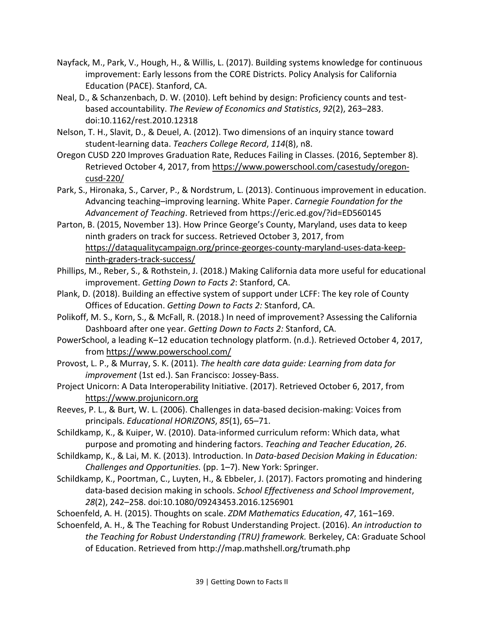- Nayfack, M., Park, V., Hough, H., & Willis, L. (2017). Building systems knowledge for continuous improvement: Early lessons from the CORE Districts. Policy Analysis for California Education (PACE). Stanford, CA.
- Neal, D., & Schanzenbach, D. W. (2010). Left behind by design: Proficiency counts and testbased accountability. *The Review of Economics and Statistics*, *92*(2), 263–283. doi:10.1162/rest.2010.12318
- Nelson, T. H., Slavit, D., & Deuel, A. (2012). Two dimensions of an inquiry stance toward student-learning data. *Teachers College Record*, *114*(8), n8.
- Oregon CUSD 220 Improves Graduation Rate, Reduces Failing in Classes. (2016, September 8). Retrieved October 4, 2017, from [https://www.powerschool.com/casestudy/oregon](https://www.powerschool.com/casestudy/oregon-cusd-220/)[cusd-220/](https://www.powerschool.com/casestudy/oregon-cusd-220/)
- Park, S., Hironaka, S., Carver, P., & Nordstrum, L. (2013). Continuous improvement in education. Advancing teaching–improving learning. White Paper. *Carnegie Foundation for the Advancement of Teaching*. Retrieved from https://eric.ed.gov/?id=ED560145
- Parton, B. (2015, November 13). How Prince George's County, Maryland, uses data to keep ninth graders on track for success. Retrieved October 3, 2017, from [https://dataqualitycampaign.org/prince-georges-county-maryland-uses-data-keep](https://dataqualitycampaign.org/prince-georges-county-maryland-uses-data-keep-ninth-graders-track-success/)[ninth-graders-track-success/](https://dataqualitycampaign.org/prince-georges-county-maryland-uses-data-keep-ninth-graders-track-success/)
- Phillips, M., Reber, S., & Rothstein, J. (2018.) Making California data more useful for educational improvement. *Getting Down to Facts 2*: Stanford, CA.
- Plank, D. (2018). Building an effective system of support under LCFF: The key role of County Offices of Education. *Getting Down to Facts 2:* Stanford, CA.
- Polikoff, M. S., Korn, S., & McFall, R. (2018.) In need of improvement? Assessing the California Dashboard after one year. *Getting Down to Facts 2:* Stanford, CA.
- PowerSchool, a leading K–12 education technology platform. (n.d.). Retrieved October 4, 2017, from<https://www.powerschool.com/>
- Provost, L. P., & Murray, S. K. (2011). *The health care data guide: Learning from data for improvement* (1st ed.). San Francisco: Jossey-Bass.
- Project Unicorn: A Data Interoperability Initiative. (2017). Retrieved October 6, 2017, from [https://www.projunicorn.org](https://www.projunicorn.org/)
- Reeves, P. L., & Burt, W. L. (2006). Challenges in data-based decision-making: Voices from principals. *Educational HORIZONS*, *85*(1), 65–71.
- Schildkamp, K., & Kuiper, W. (2010). Data-informed curriculum reform: Which data, what purpose and promoting and hindering factors. *Teaching and Teacher Education*, *26*.
- Schildkamp, K., & Lai, M. K. (2013). Introduction. In *Data-based Decision Making in Education: Challenges and Opportunities.* (pp. 1–7). New York: Springer.
- Schildkamp, K., Poortman, C., Luyten, H., & Ebbeler, J. (2017). Factors promoting and hindering data-based decision making in schools. *School Effectiveness and School Improvement*, *28*(2), 242–258. doi:10.1080/09243453.2016.1256901
- Schoenfeld, A. H. (2015). Thoughts on scale. *ZDM Mathematics Education*, *47*, 161–169.
- Schoenfeld, A. H., & The Teaching for Robust Understanding Project. (2016). *An introduction to the Teaching for Robust Understanding (TRU) framework.* Berkeley, CA: Graduate School of Education. Retrieved from http://map.mathshell.org/trumath.php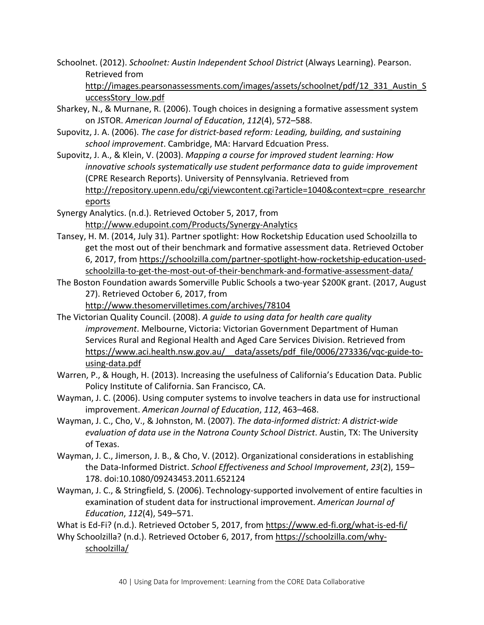Schoolnet. (2012). *Schoolnet: Austin Independent School District* (Always Learning). Pearson. Retrieved from

[http://images.pearsonassessments.com/images/assets/schoolnet/pdf/12\\_331\\_Austin\\_S](http://images.pearsonassessments.com/images/assets/schoolnet/pdf/12_331_Austin_SuccessStory_low.pdf) [uccessStory\\_low.pdf](http://images.pearsonassessments.com/images/assets/schoolnet/pdf/12_331_Austin_SuccessStory_low.pdf)

- Sharkey, N., & Murnane, R. (2006). Tough choices in designing a formative assessment system on JSTOR. *American Journal of Education*, *112*(4), 572–588.
- Supovitz, J. A. (2006). *The case for district-based reform: Leading, building, and sustaining school improvement*. Cambridge, MA: Harvard Edcuation Press.
- Supovitz, J. A., & Klein, V. (2003). *Mapping a course for improved student learning: How innovative schools systematically use student performance data to guide improvement* (CPRE Research Reports). University of Pennsylvania. Retrieved from [http://repository.upenn.edu/cgi/viewcontent.cgi?article=1040&context=cpre\\_researchr](http://repository.upenn.edu/cgi/viewcontent.cgi?article=1040&context=cpre_researchreports) [eports](http://repository.upenn.edu/cgi/viewcontent.cgi?article=1040&context=cpre_researchreports)

Synergy Analytics. (n.d.). Retrieved October 5, 2017, from <http://www.edupoint.com/Products/Synergy-Analytics>

- Tansey, H. M. (2014, July 31). Partner spotlight: How Rocketship Education used Schoolzilla to get the most out of their benchmark and formative assessment data. Retrieved October 6, 2017, from [https://schoolzilla.com/partner-spotlight-how-rocketship-education-used](https://schoolzilla.com/partner-spotlight-how-rocketship-education-used-schoolzilla-to-get-the-most-out-of-their-benchmark-and-formative-assessment-data/)[schoolzilla-to-get-the-most-out-of-their-benchmark-and-formative-assessment-data/](https://schoolzilla.com/partner-spotlight-how-rocketship-education-used-schoolzilla-to-get-the-most-out-of-their-benchmark-and-formative-assessment-data/)
- The Boston Foundation awards Somerville Public Schools a two-year \$200K grant. (2017, August 27). Retrieved October 6, 2017, from

<http://www.thesomervilletimes.com/archives/78104>

- The Victorian Quality Council. (2008). *A guide to using data for health care quality improvement*. Melbourne, Victoria: Victorian Government Department of Human Services Rural and Regional Health and Aged Care Services Division. Retrieved from [https://www.aci.health.nsw.gov.au/\\_\\_data/assets/pdf\\_file/0006/273336/vqc-guide-to](https://www.aci.health.nsw.gov.au/__data/assets/pdf_file/0006/273336/vqc-guide-to-using-data.pdf)[using-data.pdf](https://www.aci.health.nsw.gov.au/__data/assets/pdf_file/0006/273336/vqc-guide-to-using-data.pdf)
- Warren, P., & Hough, H. (2013). Increasing the usefulness of California's Education Data. Public Policy Institute of California. San Francisco, CA.
- Wayman, J. C. (2006). Using computer systems to involve teachers in data use for instructional improvement. *American Journal of Education*, *112*, 463–468.
- Wayman, J. C., Cho, V., & Johnston, M. (2007). *The data-informed district: A district-wide evaluation of data use in the Natrona County School District*. Austin, TX: The University of Texas.
- Wayman, J. C., Jimerson, J. B., & Cho, V. (2012). Organizational considerations in establishing the Data-Informed District. *School Effectiveness and School Improvement*, *23*(2), 159– 178. doi:10.1080/09243453.2011.652124
- Wayman, J. C., & Stringfield, S. (2006). Technology-supported involvement of entire faculties in examination of student data for instructional improvement. *American Journal of Education*, *112*(4), 549–571.

What is Ed-Fi? (n.d.). Retrieved October 5, 2017, from<https://www.ed-fi.org/what-is-ed-fi/>

Why Schoolzilla? (n.d.). Retrieved October 6, 2017, from [https://schoolzilla.com/why](https://schoolzilla.com/why-schoolzilla/)[schoolzilla/](https://schoolzilla.com/why-schoolzilla/)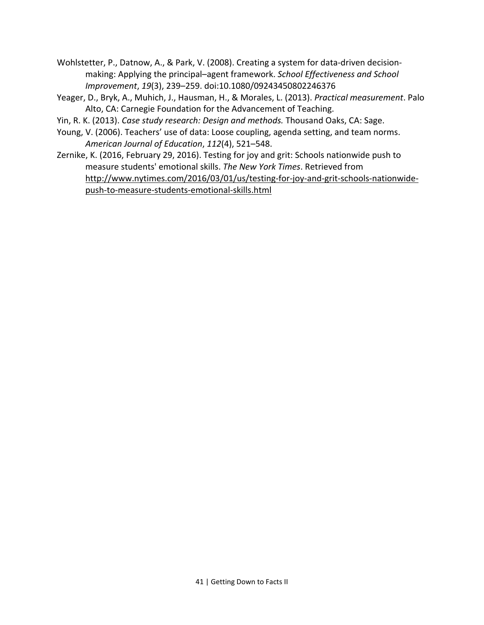- Wohlstetter, P., Datnow, A., & Park, V. (2008). Creating a system for data-driven decisionmaking: Applying the principal–agent framework. *School Effectiveness and School Improvement*, *19*(3), 239–259. doi:10.1080/09243450802246376
- Yeager, D., Bryk, A., Muhich, J., Hausman, H., & Morales, L. (2013). *Practical measurement*. Palo Alto, CA: Carnegie Foundation for the Advancement of Teaching.
- Yin, R. K. (2013). *Case study research: Design and methods.* Thousand Oaks, CA: Sage.
- Young, V. (2006). Teachers' use of data: Loose coupling, agenda setting, and team norms. *American Journal of Education*, *112*(4), 521–548.
- Zernike, K. (2016, February 29, 2016). Testing for joy and grit: Schools nationwide push to measure students' emotional skills. *The New York Times*. Retrieved from [http://www.nytimes.com/2016/03/01/us/testing-for-joy-and-grit-schools-nationwide](http://www.nytimes.com/2016/03/01/us/testing-for-joy-and-grit-schools-nationwide-push-to-measure-students-emotional-skills.html)[push-to-measure-students-emotional-skills.html](http://www.nytimes.com/2016/03/01/us/testing-for-joy-and-grit-schools-nationwide-push-to-measure-students-emotional-skills.html)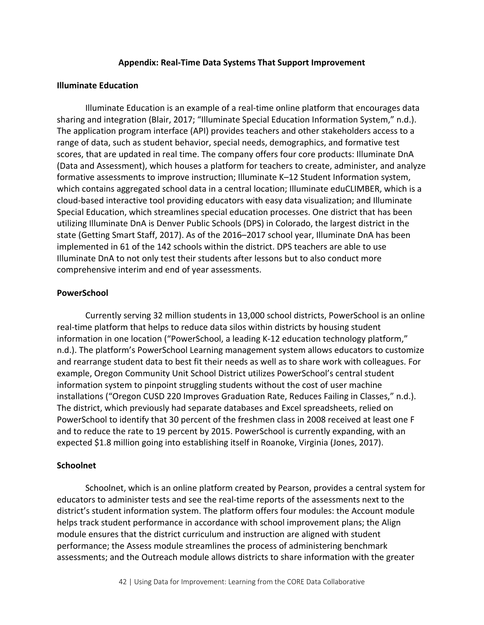#### **Appendix: Real-Time Data Systems That Support Improvement**

#### **Illuminate Education**

Illuminate Education is an example of a real-time online platform that encourages data sharing and integration (Blair, 2017; "Illuminate Special Education Information System," n.d.). The application program interface (API) provides teachers and other stakeholders access to a range of data, such as student behavior, special needs, demographics, and formative test scores, that are updated in real time. The company offers four core products: Illuminate DnA (Data and Assessment), which houses a platform for teachers to create, administer, and analyze formative assessments to improve instruction; Illuminate K–12 Student Information system, which contains aggregated school data in a central location; Illuminate eduCLIMBER, which is a cloud-based interactive tool providing educators with easy data visualization; and Illuminate Special Education, which streamlines special education processes. One district that has been utilizing Illuminate DnA is Denver Public Schools (DPS) in Colorado, the largest district in the state (Getting Smart Staff, 2017). As of the 2016–2017 school year, Illuminate DnA has been implemented in 61 of the 142 schools within the district. DPS teachers are able to use Illuminate DnA to not only test their students after lessons but to also conduct more comprehensive interim and end of year assessments.

#### **PowerSchool**

Currently serving 32 million students in 13,000 school districts, PowerSchool is an online real-time platform that helps to reduce data silos within districts by housing student information in one location ("PowerSchool, a leading K-12 education technology platform," n.d.). The platform's PowerSchool Learning management system allows educators to customize and rearrange student data to best fit their needs as well as to share work with colleagues. For example, Oregon Community Unit School District utilizes PowerSchool's central student information system to pinpoint struggling students without the cost of user machine installations ("Oregon CUSD 220 Improves Graduation Rate, Reduces Failing in Classes," n.d.). The district, which previously had separate databases and Excel spreadsheets, relied on PowerSchool to identify that 30 percent of the freshmen class in 2008 received at least one F and to reduce the rate to 19 percent by 2015. PowerSchool is currently expanding, with an expected \$1.8 million going into establishing itself in Roanoke, Virginia (Jones, 2017).

#### **Schoolnet**

Schoolnet, which is an online platform created by Pearson, provides a central system for educators to administer tests and see the real-time reports of the assessments next to the district's student information system. The platform offers four modules: the Account module helps track student performance in accordance with school improvement plans; the Align module ensures that the district curriculum and instruction are aligned with student performance; the Assess module streamlines the process of administering benchmark assessments; and the Outreach module allows districts to share information with the greater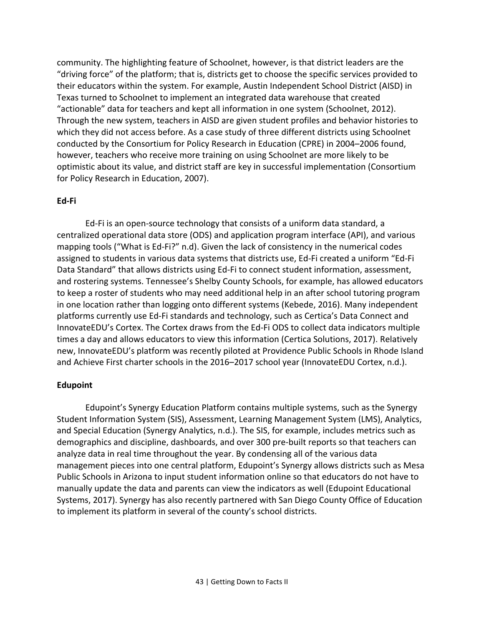community. The highlighting feature of Schoolnet, however, is that district leaders are the "driving force" of the platform; that is, districts get to choose the specific services provided to their educators within the system. For example, Austin Independent School District (AISD) in Texas turned to Schoolnet to implement an integrated data warehouse that created "actionable" data for teachers and kept all information in one system (Schoolnet, 2012). Through the new system, teachers in AISD are given student profiles and behavior histories to which they did not access before. As a case study of three different districts using Schoolnet conducted by the Consortium for Policy Research in Education (CPRE) in 2004–2006 found, however, teachers who receive more training on using Schoolnet are more likely to be optimistic about its value, and district staff are key in successful implementation (Consortium for Policy Research in Education, 2007).

#### **Ed-Fi**

Ed-Fi is an open-source technology that consists of a uniform data standard, a centralized operational data store (ODS) and application program interface (API), and various mapping tools ("What is Ed-Fi?" n.d). Given the lack of consistency in the numerical codes assigned to students in various data systems that districts use, Ed-Fi created a uniform "Ed-Fi Data Standard" that allows districts using Ed-Fi to connect student information, assessment, and rostering systems. Tennessee's Shelby County Schools, for example, has allowed educators to keep a roster of students who may need additional help in an after school tutoring program in one location rather than logging onto different systems (Kebede, 2016). Many independent platforms currently use Ed-Fi standards and technology, such as Certica's Data Connect and InnovateEDU's Cortex. The Cortex draws from the Ed-Fi ODS to collect data indicators multiple times a day and allows educators to view this information (Certica Solutions, 2017). Relatively new, InnovateEDU's platform was recently piloted at Providence Public Schools in Rhode Island and Achieve First charter schools in the 2016–2017 school year (InnovateEDU Cortex, n.d.).

#### **Edupoint**

Edupoint's Synergy Education Platform contains multiple systems, such as the Synergy Student Information System (SIS), Assessment, Learning Management System (LMS), Analytics, and Special Education (Synergy Analytics, n.d.). The SIS, for example, includes metrics such as demographics and discipline, dashboards, and over 300 pre-built reports so that teachers can analyze data in real time throughout the year. By condensing all of the various data management pieces into one central platform, Edupoint's Synergy allows districts such as Mesa Public Schools in Arizona to input student information online so that educators do not have to manually update the data and parents can view the indicators as well (Edupoint Educational Systems, 2017). Synergy has also recently partnered with San Diego County Office of Education to implement its platform in several of the county's school districts.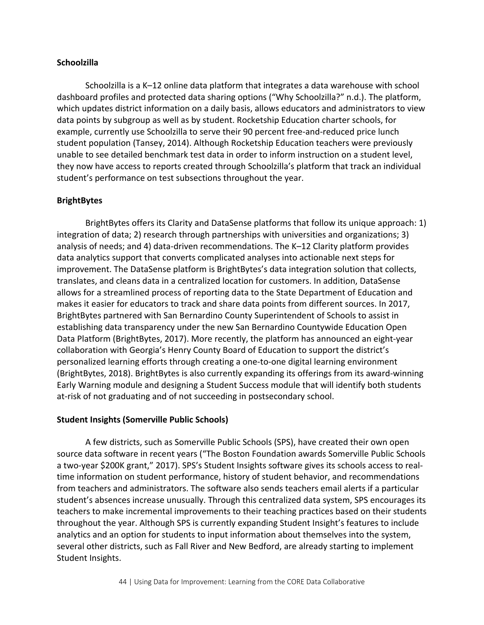#### **Schoolzilla**

Schoolzilla is a K–12 online data platform that integrates a data warehouse with school dashboard profiles and protected data sharing options ("Why Schoolzilla?" n.d.). The platform, which updates district information on a daily basis, allows educators and administrators to view data points by subgroup as well as by student. Rocketship Education charter schools, for example, currently use Schoolzilla to serve their 90 percent free-and-reduced price lunch student population (Tansey, 2014). Although Rocketship Education teachers were previously unable to see detailed benchmark test data in order to inform instruction on a student level, they now have access to reports created through Schoolzilla's platform that track an individual student's performance on test subsections throughout the year.

#### **BrightBytes**

BrightBytes offers its Clarity and DataSense platforms that follow its unique approach: 1) integration of data; 2) research through partnerships with universities and organizations; 3) analysis of needs; and 4) data-driven recommendations. The K–12 Clarity platform provides data analytics support that converts complicated analyses into actionable next steps for improvement. The DataSense platform is BrightBytes's data integration solution that collects, translates, and cleans data in a centralized location for customers. In addition, DataSense allows for a streamlined process of reporting data to the State Department of Education and makes it easier for educators to track and share data points from different sources. In 2017, BrightBytes partnered with San Bernardino County Superintendent of Schools to assist in establishing data transparency under the new San Bernardino Countywide Education Open Data Platform (BrightBytes, 2017). More recently, the platform has announced an eight-year collaboration with Georgia's Henry County Board of Education to support the district's personalized learning efforts through creating a one-to-one digital learning environment (BrightBytes, 2018). BrightBytes is also currently expanding its offerings from its award-winning Early Warning module and designing a Student Success module that will identify both students at-risk of not graduating and of not succeeding in postsecondary school.

#### **Student Insights (Somerville Public Schools)**

A few districts, such as Somerville Public Schools (SPS), have created their own open source data software in recent years ("The Boston Foundation awards Somerville Public Schools a two-year \$200K grant," 2017). SPS's Student Insights software gives its schools access to realtime information on student performance, history of student behavior, and recommendations from teachers and administrators. The software also sends teachers email alerts if a particular student's absences increase unusually. Through this centralized data system, SPS encourages its teachers to make incremental improvements to their teaching practices based on their students throughout the year. Although SPS is currently expanding Student Insight's features to include analytics and an option for students to input information about themselves into the system, several other districts, such as Fall River and New Bedford, are already starting to implement Student Insights.